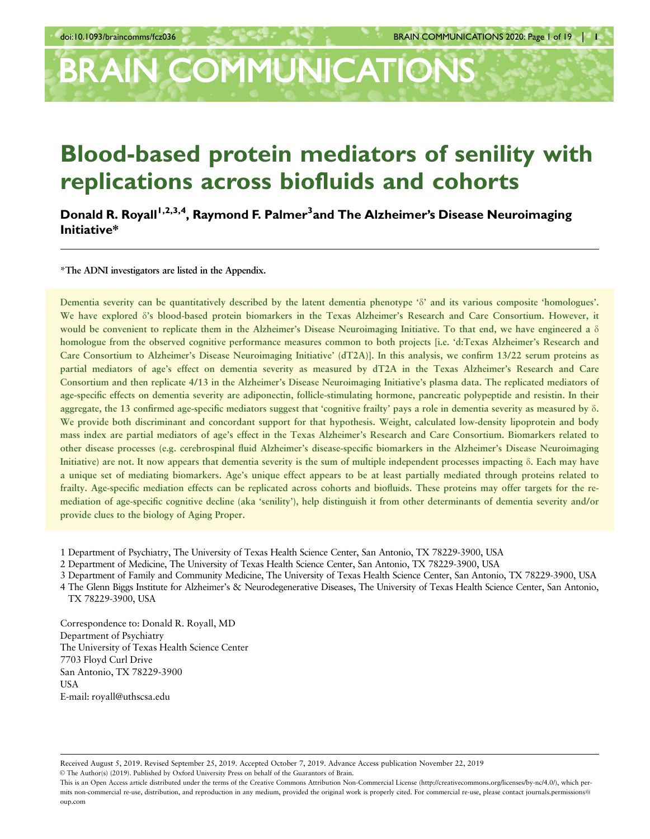# **BRAIN COMMUNICATIONS**

## Blood-based protein mediators of senility with replications across biofluids and cohorts

Donald R. Royall<sup>1,2,3,4</sup>, Raymond F. Palmer<sup>3</sup>and The Alzheimer's Disease Neuroimaging Initiative\*

\*The ADNI investigators are listed in the Appendix.

Dementia severity can be quantitatively described by the latent dementia phenotype ' $\delta$ ' and its various composite 'homologues'. We have explored  $\delta$ 's blood-based protein biomarkers in the Texas Alzheimer's Research and Care Consortium. However, it would be convenient to replicate them in the Alzheimer's Disease Neuroimaging Initiative. To that end, we have engineered a  $\delta$ homologue from the observed cognitive performance measures common to both projects [i.e. 'd:Texas Alzheimer's Research and Care Consortium to Alzheimer's Disease Neuroimaging Initiative' (dT2A)]. In this analysis, we confirm 13/22 serum proteins as partial mediators of age's effect on dementia severity as measured by dT2A in the Texas Alzheimer's Research and Care Consortium and then replicate 4/13 in the Alzheimer's Disease Neuroimaging Initiative's plasma data. The replicated mediators of age-specific effects on dementia severity are adiponectin, follicle-stimulating hormone, pancreatic polypeptide and resistin. In their aggregate, the 13 confirmed age-specific mediators suggest that 'cognitive frailty' pays a role in dementia severity as measured by  $\delta$ . We provide both discriminant and concordant support for that hypothesis. Weight, calculated low-density lipoprotein and body mass index are partial mediators of age's effect in the Texas Alzheimer's Research and Care Consortium. Biomarkers related to other disease processes (e.g. cerebrospinal fluid Alzheimer's disease-specific biomarkers in the Alzheimer's Disease Neuroimaging Initiative) are not. It now appears that dementia severity is the sum of multiple independent processes impacting  $\delta$ . Each may have a unique set of mediating biomarkers. Age's unique effect appears to be at least partially mediated through proteins related to frailty. Age-specific mediation effects can be replicated across cohorts and biofluids. These proteins may offer targets for the remediation of age-specific cognitive decline (aka 'senility'), help distinguish it from other determinants of dementia severity and/or provide clues to the biology of Aging Proper.

1 Department of Psychiatry, The University of Texas Health Science Center, San Antonio, TX 78229-3900, USA

2 Department of Medicine, The University of Texas Health Science Center, San Antonio, TX 78229-3900, USA

3 Department of Family and Community Medicine, The University of Texas Health Science Center, San Antonio, TX 78229-3900, USA

4 The Glenn Biggs Institute for Alzheimer's & Neurodegenerative Diseases, The University of Texas Health Science Center, San Antonio, TX 78229-3900, USA

Correspondence to: Donald R. Royall, MD Department of Psychiatry The University of Texas Health Science Center 7703 Floyd Curl Drive San Antonio, TX 78229-3900 USA E-mail: royall@uthscsa.edu

Received August 5, 2019. Revised September 25, 2019. Accepted October 7, 2019. Advance Access publication November 22, 2019 V<sup>C</sup> The Author(s) (2019). Published by Oxford University Press on behalf of the Guarantors of Brain.

This is an Open Access article distributed under the terms of the Creative Commons Attribution Non-Commercial License (http://creativecommons.org/licenses/by-nc/4.0/), which permits non-commercial re-use, distribution, and reproduction in any medium, provided the original work is properly cited. For commercial re-use, please contact journals.permissions@ oup.com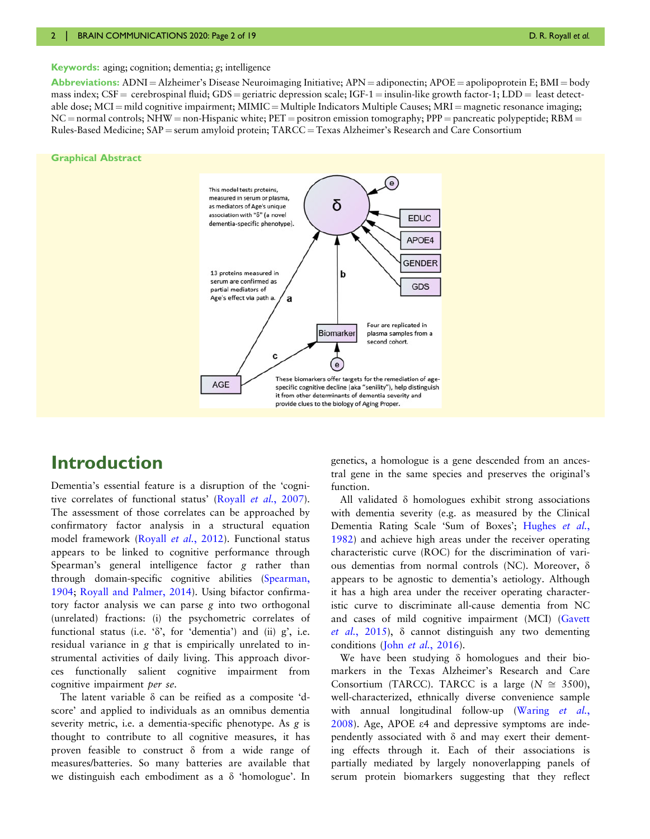Keywords: aging; cognition; dementia; g; intelligence

Abbreviations: ADNI = Alzheimer's Disease Neuroimaging Initiative; APN = adiponectin; APOE = apolipoprotein E; BMI = body mass index;  $CSF =$  cerebrospinal fluid; GDS = geriatric depression scale;  $IGF-1 =$  insulin-like growth factor-1; LDD = least detectable dose; MCI = mild cognitive impairment; MIMIC = Multiple Indicators Multiple Causes; MRI = magnetic resonance imaging;  $NC =$  normal controls; NHW = non-Hispanic white; PET = positron emission tomography; PPP = pancreatic polypeptide; RBM = Rules-Based Medicine; SAP = serum amyloid protein; TARCC = Texas Alzheimer's Research and Care Consortium

#### Graphical Abstract



## Introduction

Dementia's essential feature is a disruption of the 'cognitive correlates of functional status' (Royall et al.[, 2007](#page-14-0)). The assessment of those correlates can be approached by confirmatory factor analysis in a structural equation model framework (Royall et al.[, 2012\)](#page-14-0). Functional status appears to be linked to cognitive performance through Spearman's general intelligence factor g rather than through domain-specific cognitive abilities [\(Spearman,](#page-14-0) [1904](#page-14-0); [Royall and Palmer, 2014\)](#page-14-0). Using bifactor confirmatory factor analysis we can parse g into two orthogonal (unrelated) fractions: (i) the psychometric correlates of functional status (i.e.  $\delta$ ', for 'dementia') and (ii) g', i.e. residual variance in g that is empirically unrelated to instrumental activities of daily living. This approach divorces functionally salient cognitive impairment from cognitive impairment per se.

The latent variable  $\delta$  can be reified as a composite 'dscore' and applied to individuals as an omnibus dementia severity metric, i.e. a dementia-specific phenotype. As g is thought to contribute to all cognitive measures, it has proven feasible to construct  $\delta$  from a wide range of measures/batteries. So many batteries are available that we distinguish each embodiment as a  $\delta$  'homologue'. In genetics, a homologue is a gene descended from an ancestral gene in the same species and preserves the original's function.

All validated  $\delta$  homologues exhibit strong associations with dementia severity (e.g. as measured by the Clinical Dementia Rating Scale 'Sum of Boxes'; [Hughes](#page-13-0) et al., [1982](#page-13-0)) and achieve high areas under the receiver operating characteristic curve (ROC) for the discrimination of various dementias from normal controls (NC). Moreover,  $\delta$ appears to be agnostic to dementia's aetiology. Although it has a high area under the receiver operating characteristic curve to discriminate all-cause dementia from NC and cases of mild cognitive impairment (MCI) ([Gavett](#page-13-0) et al.[, 2015\)](#page-13-0),  $\delta$  cannot distinguish any two dementing conditions (John *et al.*[, 2016\)](#page-13-0).

We have been studying  $\delta$  homologues and their biomarkers in the Texas Alzheimer's Research and Care Consortium (TARCC). TARCC is a large  $(N \approx 3500)$ , well-characterized, ethnically diverse convenience sample with annual longitudinal follow-up [\(Waring](#page-15-0) et al., [2008](#page-15-0)). Age, APOE e4 and depressive symptoms are independently associated with  $\delta$  and may exert their dementing effects through it. Each of their associations is partially mediated by largely nonoverlapping panels of serum protein biomarkers suggesting that they reflect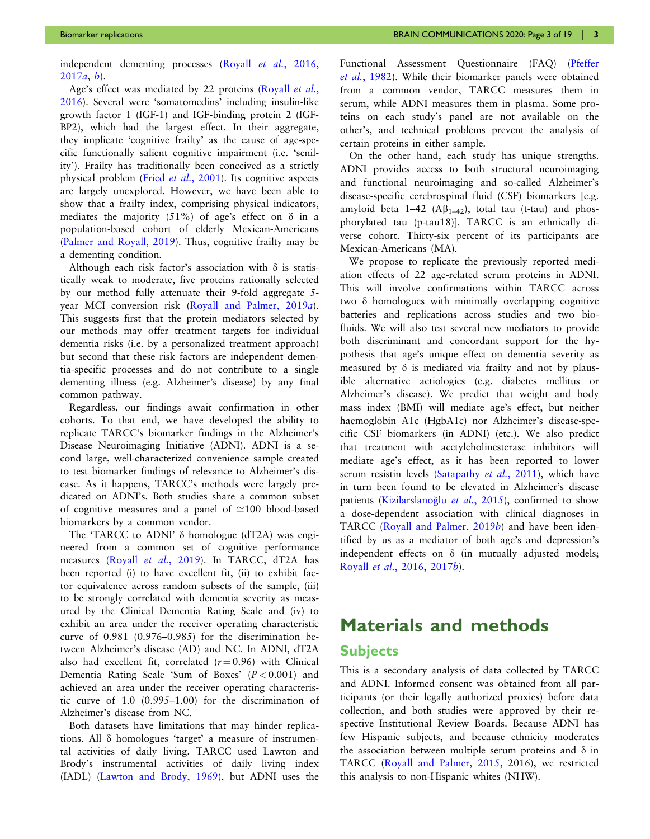Biomarker replications and the state of the state of the state of the BRAIN COMMUNICATIONS 2020: Page 3 of 19 | 3

independent dementing processes (Royall et al.[, 2016](#page-14-0),  $2017a, b$  $2017a, b$  $2017a, b$ ).

Age's effect was mediated by 22 proteins [\(Royall](#page-14-0) *et al.*, [2016\)](#page-14-0). Several were 'somatomedins' including insulin-like growth factor 1 (IGF-1) and IGF-binding protein 2 (IGF-BP2), which had the largest effect. In their aggregate, they implicate 'cognitive frailty' as the cause of age-specific functionally salient cognitive impairment (i.e. 'senility'). Frailty has traditionally been conceived as a strictly physical problem (Fried et al.[, 2001](#page-13-0)). Its cognitive aspects are largely unexplored. However, we have been able to show that a frailty index, comprising physical indicators, mediates the majority  $(51\%)$  of age's effect on  $\delta$  in a population-based cohort of elderly Mexican-Americans ([Palmer and Royall, 2019](#page-14-0)). Thus, cognitive frailty may be a dementing condition.

Although each risk factor's association with  $\delta$  is statistically weak to moderate, five proteins rationally selected by our method fully attenuate their 9-fold aggregate 5 year MCI conversion risk ([Royall and Palmer, 2019](#page-14-0)a). This suggests first that the protein mediators selected by our methods may offer treatment targets for individual dementia risks (i.e. by a personalized treatment approach) but second that these risk factors are independent dementia-specific processes and do not contribute to a single dementing illness (e.g. Alzheimer's disease) by any final common pathway.

Regardless, our findings await confirmation in other cohorts. To that end, we have developed the ability to replicate TARCC's biomarker findings in the Alzheimer's Disease Neuroimaging Initiative (ADNI). ADNI is a second large, well-characterized convenience sample created to test biomarker findings of relevance to Alzheimer's disease. As it happens, TARCC's methods were largely predicated on ADNI's. Both studies share a common subset of cognitive measures and a panel of  $\approx$ 100 blood-based biomarkers by a common vendor.

The 'TARCC to ADNI'  $\delta$  homologue (dT2A) was engineered from a common set of cognitive performance measures (Royall et al.[, 2019\)](#page-14-0). In TARCC, dT2A has been reported (i) to have excellent fit, (ii) to exhibit factor equivalence across random subsets of the sample, (iii) to be strongly correlated with dementia severity as measured by the Clinical Dementia Rating Scale and (iv) to exhibit an area under the receiver operating characteristic curve of 0.981 (0.976–0.985) for the discrimination between Alzheimer's disease (AD) and NC. In ADNI, dT2A also had excellent fit, correlated  $(r=0.96)$  with Clinical Dementia Rating Scale 'Sum of Boxes'  $(P < 0.001)$  and achieved an area under the receiver operating characteristic curve of 1.0 (0.995–1.00) for the discrimination of Alzheimer's disease from NC.

Both datasets have limitations that may hinder replications. All  $\delta$  homologues 'target' a measure of instrumental activities of daily living. TARCC used Lawton and Brody's instrumental activities of daily living index (IADL) [\(Lawton and Brody, 1969](#page-13-0)), but ADNI uses the

Functional Assessment Questionnaire (FAQ) [\(Pfeffer](#page-14-0) et al.[, 1982](#page-14-0)). While their biomarker panels were obtained from a common vendor, TARCC measures them in serum, while ADNI measures them in plasma. Some proteins on each study's panel are not available on the other's, and technical problems prevent the analysis of certain proteins in either sample.

On the other hand, each study has unique strengths. ADNI provides access to both structural neuroimaging and functional neuroimaging and so-called Alzheimer's disease-specific cerebrospinal fluid (CSF) biomarkers [e.g. amyloid beta 1–42 ( $\mathbf{A}\mathbf{\beta}_{1-42}$ ), total tau (t-tau) and phosphorylated tau (p-tau18)]. TARCC is an ethnically diverse cohort. Thirty-six percent of its participants are Mexican-Americans (MA).

We propose to replicate the previously reported mediation effects of 22 age-related serum proteins in ADNI. This will involve confirmations within TARCC across two  $\delta$  homologues with minimally overlapping cognitive batteries and replications across studies and two biofluids. We will also test several new mediators to provide both discriminant and concordant support for the hypothesis that age's unique effect on dementia severity as measured by  $\delta$  is mediated via frailty and not by plausible alternative aetiologies (e.g. diabetes mellitus or Alzheimer's disease). We predict that weight and body mass index (BMI) will mediate age's effect, but neither haemoglobin A1c (HgbA1c) nor Alzheimer's disease-specific CSF biomarkers (in ADNI) (etc.). We also predict that treatment with acetylcholinesterase inhibitors will mediate age's effect, as it has been reported to lower serum resistin levels [\(Satapathy](#page-14-0) et al., 2011), which have in turn been found to be elevated in Alzheimer's disease patients ([Kizilarslano](#page-13-0)ğlu et al.[, 2015\)](#page-13-0), confirmed to show a dose-dependent association with clinical diagnoses in TARCC [\(Royall and Palmer, 2019](#page-14-0)b) and have been identified by us as a mediator of both age's and depression's independent effects on  $\delta$  (in mutually adjusted models; Royall et al.[, 2016](#page-14-0), [2017](#page-14-0)b).

## Materials and methods

#### **Subjects**

This is a secondary analysis of data collected by TARCC and ADNI. Informed consent was obtained from all participants (or their legally authorized proxies) before data collection, and both studies were approved by their respective Institutional Review Boards. Because ADNI has few Hispanic subjects, and because ethnicity moderates the association between multiple serum proteins and  $\delta$  in TARCC [\(Royall and Palmer, 2015](#page-14-0), 2016), we restricted this analysis to non-Hispanic whites (NHW).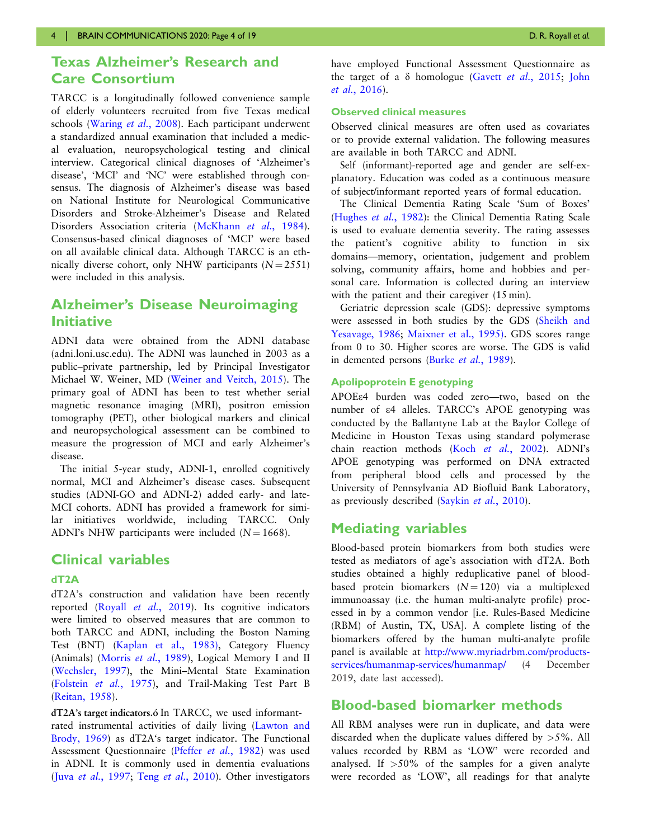#### Texas Alzheimer's Research and Care Consortium

TARCC is a longitudinally followed convenience sample of elderly volunteers recruited from five Texas medical schools ([Waring](#page-15-0) et al., 2008). Each participant underwent a standardized annual examination that included a medical evaluation, neuropsychological testing and clinical interview. Categorical clinical diagnoses of 'Alzheimer's disease', 'MCI' and 'NC' were established through consensus. The diagnosis of Alzheimer's disease was based on National Institute for Neurological Communicative Disorders and Stroke-Alzheimer's Disease and Related Disorders Association criteria [\(McKhann](#page-14-0) et al., 1984). Consensus-based clinical diagnoses of 'MCI' were based on all available clinical data. Although TARCC is an ethnically diverse cohort, only NHW participants  $(N = 2551)$ were included in this analysis.

### Alzheimer's Disease Neuroimaging Initiative

ADNI data were obtained from the ADNI database (adni.loni.usc.edu). The ADNI was launched in 2003 as a public–private partnership, led by Principal Investigator Michael W. Weiner, MD ([Weiner and Veitch, 2015\)](#page-15-0). The primary goal of ADNI has been to test whether serial magnetic resonance imaging (MRI), positron emission tomography (PET), other biological markers and clinical and neuropsychological assessment can be combined to measure the progression of MCI and early Alzheimer's disease.

The initial 5-year study, ADNI-1, enrolled cognitively normal, MCI and Alzheimer's disease cases. Subsequent studies (ADNI-GO and ADNI-2) added early- and late-MCI cohorts. ADNI has provided a framework for similar initiatives worldwide, including TARCC. Only ADNI's NHW participants were included  $(N = 1668)$ .

#### Clinical variables

#### dT2A

dT2A's construction and validation have been recently reported (Royall et al.[, 2019\)](#page-14-0). Its cognitive indicators were limited to observed measures that are common to both TARCC and ADNI, including the Boston Naming Test (BNT) ([Kaplan et al., 1983\),](#page-13-0) Category Fluency (Animals) [\(Morris](#page-14-0) et al., 1989), Logical Memory I and II [\(Wechsler, 1997](#page-15-0)), the Mini–Mental State Examination [\(Folstein](#page-13-0) et al., 1975), and Trail-Making Test Part B [\(Reitan, 1958](#page-14-0)).

dT2A's target indicators. o In TARCC, we used informant-

rated instrumental activities of daily living [\(Lawton and](#page-13-0) [Brody, 1969](#page-13-0)) as dT2A's target indicator. The Functional Assessment Questionnaire (Pfeffer et al.[, 1982\)](#page-14-0) was used in ADNI. It is commonly used in dementia evaluations (Juva et al.[, 1997;](#page-13-0) Teng et al.[, 2010](#page-14-0)). Other investigators

have employed Functional Assessment Questionnaire as the target of a  $\delta$  homologue (Gavett *et al.*[, 2015;](#page-13-0) [John](#page-13-0) et al.[, 2016](#page-13-0)).

#### Observed clinical measures

Observed clinical measures are often used as covariates or to provide external validation. The following measures are available in both TARCC and ADNI.

Self (informant)-reported age and gender are self-explanatory. Education was coded as a continuous measure of subject/informant reported years of formal education.

The Clinical Dementia Rating Scale 'Sum of Boxes' [\(Hughes](#page-13-0) et al., 1982): the Clinical Dementia Rating Scale is used to evaluate dementia severity. The rating assesses the patient's cognitive ability to function in six domains—memory, orientation, judgement and problem solving, community affairs, home and hobbies and personal care. Information is collected during an interview with the patient and their caregiver  $(15 \text{ min})$ .

Geriatric depression scale (GDS): depressive symptoms were assessed in both studies by the GDS ([Sheikh and](#page-14-0) [Yesavage, 1986](#page-14-0); [Maixner et al., 1995\).](#page-13-0) GDS scores range from 0 to 30. Higher scores are worse. The GDS is valid in demented persons (Burke et al.[, 1989\)](#page-13-0).

#### Apolipoprotein E genotyping

APOEe4 burden was coded zero—two, based on the number of e4 alleles. TARCC's APOE genotyping was conducted by the Ballantyne Lab at the Baylor College of Medicine in Houston Texas using standard polymerase chain reaction methods (Koch et al.[, 2002\)](#page-13-0). ADNI's APOE genotyping was performed on DNA extracted from peripheral blood cells and processed by the University of Pennsylvania AD Biofluid Bank Laboratory, as previously described (Saykin et al.[, 2010\)](#page-14-0).

#### Mediating variables

Blood-based protein biomarkers from both studies were tested as mediators of age's association with dT2A. Both studies obtained a highly reduplicative panel of bloodbased protein biomarkers  $(N = 120)$  via a multiplexed immunoassay (i.e. the human multi-analyte profile) processed in by a common vendor [i.e. Rules-Based Medicine (RBM) of Austin, TX, USA]. A complete listing of the biomarkers offered by the human multi-analyte profile panel is available at [http://www.myriadrbm.com/products](http://www.myriadrbm.com/products-services/humanmap-services/humanmap/)[services/humanmap-services/humanmap/](http://www.myriadrbm.com/products-services/humanmap-services/humanmap/) (4 December 2019, date last accessed).

#### Blood-based biomarker methods

All RBM analyses were run in duplicate, and data were discarded when the duplicate values differed by >5%. All values recorded by RBM as 'LOW' were recorded and analysed. If  $>50\%$  of the samples for a given analyte were recorded as 'LOW', all readings for that analyte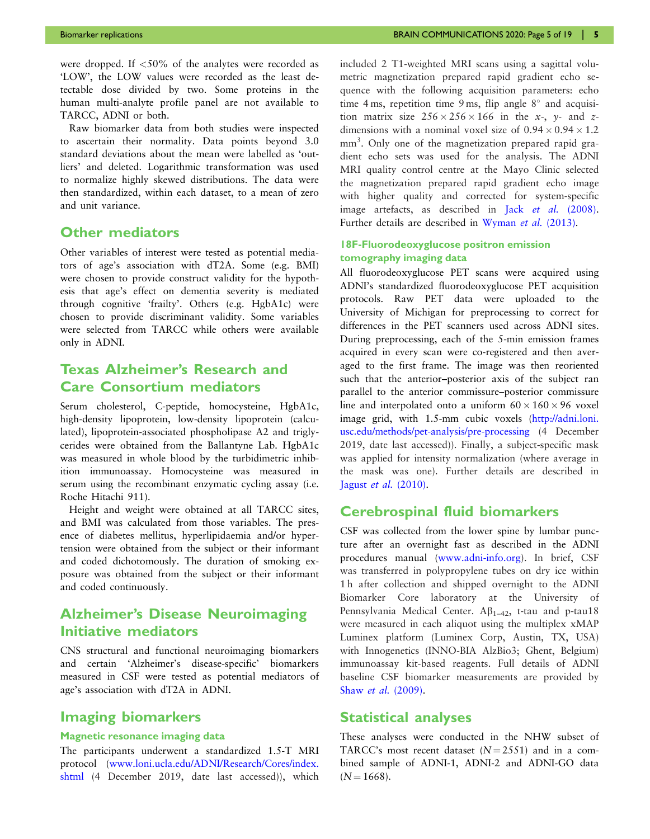were dropped. If <50% of the analytes were recorded as 'LOW', the LOW values were recorded as the least detectable dose divided by two. Some proteins in the human multi-analyte profile panel are not available to TARCC, ADNI or both.

Raw biomarker data from both studies were inspected to ascertain their normality. Data points beyond 3.0 standard deviations about the mean were labelled as 'outliers' and deleted. Logarithmic transformation was used to normalize highly skewed distributions. The data were then standardized, within each dataset, to a mean of zero and unit variance.

#### Other mediators

Other variables of interest were tested as potential mediators of age's association with dT2A. Some (e.g. BMI) were chosen to provide construct validity for the hypothesis that age's effect on dementia severity is mediated through cognitive 'frailty'. Others (e.g. HgbA1c) were chosen to provide discriminant validity. Some variables were selected from TARCC while others were available only in ADNI.

#### Texas Alzheimer's Research and Care Consortium mediators

Serum cholesterol, C-peptide, homocysteine, HgbA1c, high-density lipoprotein, low-density lipoprotein (calculated), lipoprotein-associated phospholipase A2 and triglycerides were obtained from the Ballantyne Lab. HgbA1c was measured in whole blood by the turbidimetric inhibition immunoassay. Homocysteine was measured in serum using the recombinant enzymatic cycling assay (i.e. Roche Hitachi 911).

Height and weight were obtained at all TARCC sites, and BMI was calculated from those variables. The presence of diabetes mellitus, hyperlipidaemia and/or hypertension were obtained from the subject or their informant and coded dichotomously. The duration of smoking exposure was obtained from the subject or their informant and coded continuously.

## Alzheimer's Disease Neuroimaging Initiative mediators

CNS structural and functional neuroimaging biomarkers and certain 'Alzheimer's disease-specific' biomarkers measured in CSF were tested as potential mediators of age's association with dT2A in ADNI.

#### Imaging biomarkers

#### Magnetic resonance imaging data

The participants underwent a standardized 1.5-T MRI protocol [\(www.loni.ucla.edu/ADNI/Research/Cores/index.](http://www.loni.ucla.edu/ADNI/Research/Cores/index.shtml) [shtml](http://www.loni.ucla.edu/ADNI/Research/Cores/index.shtml) (4 December 2019, date last accessed)), which included 2 T1-weighted MRI scans using a sagittal volumetric magnetization prepared rapid gradient echo sequence with the following acquisition parameters: echo time 4 ms, repetition time 9 ms, flip angle  $8^\circ$  and acquisition matrix size  $256 \times 256 \times 166$  in the x-, y- and zdimensions with a nominal voxel size of  $0.94 \times 0.94 \times 1.2$ mm<sup>3</sup>. Only one of the magnetization prepared rapid gradient echo sets was used for the analysis. The ADNI MRI quality control centre at the Mayo Clinic selected the magnetization prepared rapid gradient echo image with higher quality and corrected for system-specific image artefacts, as described in Jack et al. [\(2008\).](#page-13-0) Further details are described in [Wyman](#page-15-0) et al. (2013).

#### 18F-Fluorodeoxyglucose positron emission tomography imaging data

All fluorodeoxyglucose PET scans were acquired using ADNI's standardized fluorodeoxyglucose PET acquisition protocols. Raw PET data were uploaded to the University of Michigan for preprocessing to correct for differences in the PET scanners used across ADNI sites. During preprocessing, each of the 5-min emission frames acquired in every scan were co-registered and then averaged to the first frame. The image was then reoriented such that the anterior–posterior axis of the subject ran parallel to the anterior commissure–posterior commissure line and interpolated onto a uniform  $60 \times 160 \times 96$  voxel image grid, with 1.5-mm cubic voxels [\(http://adni.loni.](http://adni.loni.usc.edu/methods/pet-analysis/pre-processing) [usc.edu/methods/pet-analysis/pre-processing](http://adni.loni.usc.edu/methods/pet-analysis/pre-processing) (4 December 2019, date last accessed)). Finally, a subject-specific mask was applied for intensity normalization (where average in the mask was one). Further details are described in Jagust et al. [\(2010\)](#page-13-0).

#### Cerebrospinal fluid biomarkers

CSF was collected from the lower spine by lumbar puncture after an overnight fast as described in the ADNI procedures manual ([www.adni-info.org\)](http://www.adni-info.org). In brief, CSF was transferred in polypropylene tubes on dry ice within 1 h after collection and shipped overnight to the ADNI Biomarker Core laboratory at the University of Pennsylvania Medical Center.  $A\beta_{1-42}$ , t-tau and p-tau18 were measured in each aliquot using the multiplex xMAP Luminex platform (Luminex Corp, Austin, TX, USA) with Innogenetics (INNO-BIA AlzBio3; Ghent, Belgium) immunoassay kit-based reagents. Full details of ADNI baseline CSF biomarker measurements are provided by Shaw et al. [\(2009\)](#page-14-0).

#### Statistical analyses

These analyses were conducted in the NHW subset of TARCC's most recent dataset  $(N = 2551)$  and in a combined sample of ADNI-1, ADNI-2 and ADNI-GO data  $(N = 1668)$ .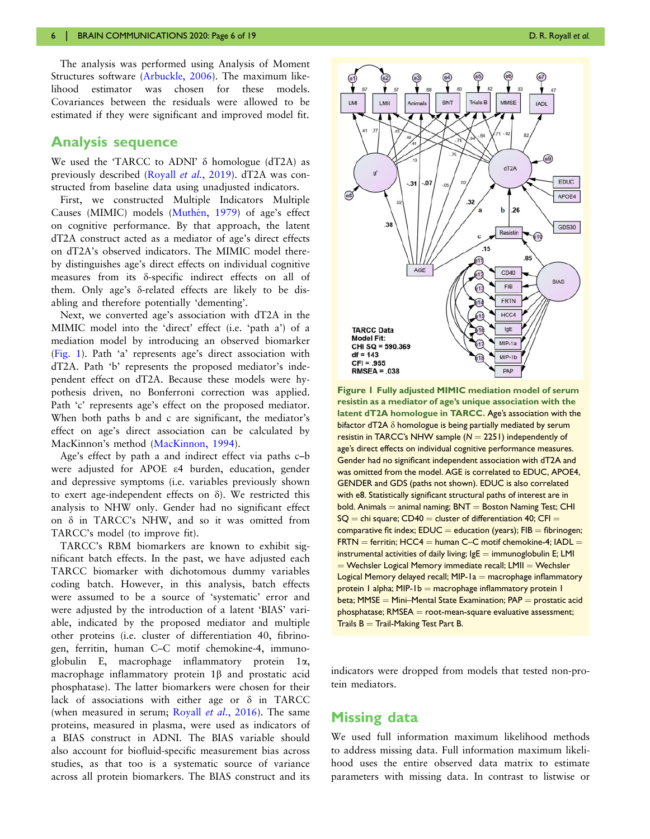<span id="page-5-0"></span>The analysis was performed using Analysis of Moment Structures software ([Arbuckle, 2006\)](#page-13-0). The maximum likelihood estimator was chosen for these models. Covariances between the residuals were allowed to be estimated if they were significant and improved model fit.

#### Analysis sequence

We used the 'TARCC to ADNI'  $\delta$  homologue (dT2A) as previously described (Royall et al.[, 2019\)](#page-14-0). dT2A was constructed from baseline data using unadjusted indicators.

First, we constructed Multiple Indicators Multiple Causes (MIMIC) models (Muthén, 1979) of age's effect on cognitive performance. By that approach, the latent dT2A construct acted as a mediator of age's direct effects on dT2A's observed indicators. The MIMIC model thereby distinguishes age's direct effects on individual cognitive measures from its  $\delta$ -specific indirect effects on all of them. Only age's  $\delta$ -related effects are likely to be disabling and therefore potentially 'dementing'.

Next, we converted age's association with dT2A in the MIMIC model into the 'direct' effect (i.e. 'path a') of a mediation model by introducing an observed biomarker (Fig. 1). Path 'a' represents age's direct association with dT2A. Path 'b' represents the proposed mediator's independent effect on dT2A. Because these models were hypothesis driven, no Bonferroni correction was applied. Path 'c' represents age's effect on the proposed mediator. When both paths b and c are significant, the mediator's effect on age's direct association can be calculated by MacKinnon's method ([MacKinnon, 1994](#page-13-0)).

Age's effect by path a and indirect effect via paths c–b were adjusted for APOE e4 burden, education, gender and depressive symptoms (i.e. variables previously shown to exert age-independent effects on  $\delta$ ). We restricted this analysis to NHW only. Gender had no significant effect on  $\delta$  in TARCC's NHW, and so it was omitted from TARCC's model (to improve fit).

TARCC's RBM biomarkers are known to exhibit significant batch effects. In the past, we have adjusted each TARCC biomarker with dichotomous dummy variables coding batch. However, in this analysis, batch effects were assumed to be a source of 'systematic' error and were adjusted by the introduction of a latent 'BIAS' variable, indicated by the proposed mediator and multiple other proteins (i.e. cluster of differentiation 40, fibrinogen, ferritin, human C–C motif chemokine-4, immunoglobulin E, macrophage inflammatory protein 1a, macrophage inflammatory protein 1 $\beta$  and prostatic acid phosphatase). The latter biomarkers were chosen for their lack of associations with either age or  $\delta$  in TARCC (when measured in serum; Royall *et al.*[, 2016](#page-14-0)). The same proteins, measured in plasma, were used as indicators of a BIAS construct in ADNI. The BIAS variable should also account for biofluid-specific measurement bias across studies, as that too is a systematic source of variance across all protein biomarkers. The BIAS construct and its



Figure 1 Fully adjusted MIMIC mediation model of serum resistin as a mediator of age's unique association with the latent dT2A homologue in TARCC. Age's association with the bifactor dT2A  $\delta$  homologue is being partially mediated by serum resistin in TARCC's NHW sample  $(N = 2251)$  independently of age's direct effects on individual cognitive performance measures. Gender had no significant independent association with dT2A and was omitted from the model. AGE is correlated to EDUC, APOE4, GENDER and GDS (paths not shown). EDUC is also correlated with e8. Statistically significant structural paths of interest are in bold. Animals  $=$  animal naming; BNT  $=$  Boston Naming Test; CHI  $SQ =$  chi square; CD40 = cluster of differentiation 40; CFI = comparative fit index;  $EDUC =$  education (years);  $FIB =$  fibrinogen;  $FRTN =$  ferritin; HCC4  $=$  human C–C motif chemokine-4; IADL  $=$ instrumental activities of daily living;  $lgE = immunoglobulin E; LMI$  $=$  Wechsler Logical Memory immediate recall; LMII  $=$  Wechsler Logical Memory delayed recall; MIP-1 $a =$  macrophage inflammatory protein  $1$  alpha; MIP-1b = macrophage inflammatory protein  $1$  $beta$ ; MMSE = Mini–Mental State Examination; PAP = prostatic acid  $phosphate; RMSEA = root-mean-square evaluate *ax* is a system.$ Trails  $B =$  Trail-Making Test Part B.

indicators were dropped from models that tested non-protein mediators.

#### Missing data

We used full information maximum likelihood methods to address missing data. Full information maximum likelihood uses the entire observed data matrix to estimate parameters with missing data. In contrast to listwise or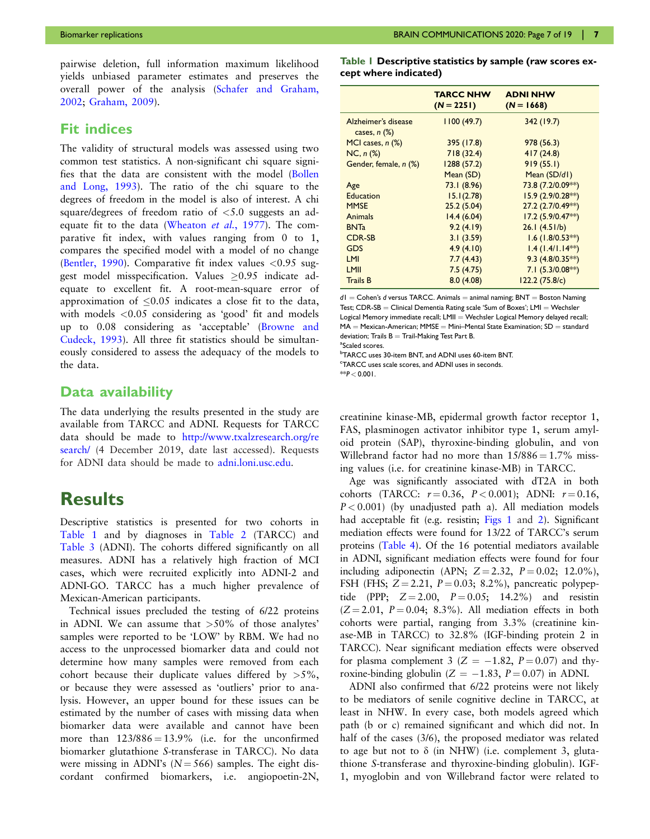pairwise deletion, full information maximum likelihood yields unbiased parameter estimates and preserves the overall power of the analysis [\(Schafer and Graham,](#page-14-0) [2002;](#page-14-0) [Graham, 2009](#page-13-0)).

#### Fit indices

The validity of structural models was assessed using two common test statistics. A non-significant chi square signifies that the data are consistent with the model [\(Bollen](#page-13-0) [and Long, 1993](#page-13-0)). The ratio of the chi square to the degrees of freedom in the model is also of interest. A chi square/degrees of freedom ratio of  $\lt$ 5.0 suggests an adequate fit to the data [\(Wheaton](#page-13-0) et al., 1977). The comparative fit index, with values ranging from 0 to 1, compares the specified model with a model of no change ([Bentler, 1990](#page-13-0)). Comparative fit index values <0.95 suggest model misspecification. Values  $\geq 0.95$  indicate adequate to excellent fit. A root-mean-square error of approximation of  $\leq 0.05$  indicates a close fit to the data, with models <0.05 considering as 'good' fit and models up to 0.08 considering as 'acceptable' [\(Browne and](#page-13-0) [Cudeck, 1993](#page-13-0)). All three fit statistics should be simultaneously considered to assess the adequacy of the models to the data.

#### Data availability

The data underlying the results presented in the study are available from TARCC and ADNI. Requests for TARCC data should be made to [http://www.txalzresearch.org/re](http://www.txalzresearch.org/research/) [search/](http://www.txalzresearch.org/research/) (4 December 2019, date last accessed). Requests for ADNI data should be made to [adni.loni.usc.edu](http://adni.loni.usc.edu).

## **Results**

Descriptive statistics is presented for two cohorts in Table 1 and by diagnoses in [Table 2](#page-7-0) (TARCC) and [Table 3](#page-7-0) (ADNI). The cohorts differed significantly on all measures. ADNI has a relatively high fraction of MCI cases, which were recruited explicitly into ADNI-2 and ADNI-GO. TARCC has a much higher prevalence of Mexican-American participants.

Technical issues precluded the testing of 6/22 proteins in ADNI. We can assume that  $>50\%$  of those analytes' samples were reported to be 'LOW' by RBM. We had no access to the unprocessed biomarker data and could not determine how many samples were removed from each cohort because their duplicate values differed by  $>5\%$ , or because they were assessed as 'outliers' prior to analysis. However, an upper bound for these issues can be estimated by the number of cases with missing data when biomarker data were available and cannot have been more than  $123/886 = 13.9\%$  (i.e. for the unconfirmed biomarker glutathione S-transferase in TARCC). No data were missing in ADNI's  $(N = 566)$  samples. The eight discordant confirmed biomarkers, i.e. angiopoetin-2N,

| Table I Descriptive statistics by sample (raw scores ex- |  |  |  |
|----------------------------------------------------------|--|--|--|
| cept where indicated)                                    |  |  |  |

|                                       | <b>TARCC NHW</b><br>$(N = 2251)$ | <b>ADNI NHW</b><br>$(N = 1668)$ |
|---------------------------------------|----------------------------------|---------------------------------|
| Alzheimer's disease<br>cases, $n$ $%$ | 1100(49.7)                       | 342 (19.7)                      |
| MCI cases, $n$ $%$                    | 395 (17.8)                       | 978 (56.3)                      |
| $NC, n (\%)$                          | 718(32.4)                        | 417(24.8)                       |
| Gender, female, n (%)                 | 1288(57.2)                       | 919(55.1)                       |
|                                       | Mean (SD)                        | Mean (SD/d1)                    |
| Age                                   | 73.1 (8.96)                      | 73.8 (7.2/0.09**)               |
| Education                             | 15.1(2.78)                       | $15.9(2.9/0.28**)$              |
| <b>MMSE</b>                           | 25.2(5.04)                       | $27.2(2.7/0.49**)$              |
| <b>Animals</b>                        | 14.4(6.04)                       | $17.2 (5.9/0.47**)$             |
| <b>BNTa</b>                           | 9.2(4.19)                        | 26.1(4.51/b)                    |
| <b>CDR-SB</b>                         | 3.1(3.59)                        | $1.6(1.8/0.53**)$               |
| <b>GDS</b>                            | 4.9(4.10)                        | $1.4(1.4/1.14**)$               |
| LMI                                   | 7.7(4.43)                        | $9.3(4.8/0.35**)$               |
| LMII                                  | 7.5(4.75)                        | $7.1(5.3/0.08**)$               |
| <b>Trails B</b>                       | 8.0(4.08)                        | 122.2(75.8/c)                   |

 $d1 =$  Cohen's d versus TARCC. Animals  $=$  animal naming; BNT  $=$  Boston Naming Test;  $CDR-SB =$  Clinical Dementia Rating scale 'Sum of Boxes'; LMI  $=$  Wechsler Logical Memory immediate recall;  $LMII = Wechsler$  Logical Memory delayed recall;  $MA = Mexican-American$ ; MMSE  $=$  Mini–Mental State Examination; SD  $=$  standard deviation; Trails  $B =$  Trail-Making Test Part B.

a Scaled scores.

b TARCC uses 30-item BNT, and ADNI uses 60-item BNT.

c TARCC uses scale scores, and ADNI uses in seconds.

 $*$  $P$  < 0.001.

creatinine kinase-MB, epidermal growth factor receptor 1, FAS, plasminogen activator inhibitor type 1, serum amyloid protein (SAP), thyroxine-binding globulin, and von Willebrand factor had no more than  $15/886 = 1.7\%$  missing values (i.e. for creatinine kinase-MB) in TARCC.

Age was significantly associated with dT2A in both cohorts (TARCC:  $r = 0.36$ ,  $P < 0.001$ ); ADNI:  $r = 0.16$ ,  $P < 0.001$ ) (by unadjusted path a). All mediation models had acceptable fit (e.g. resistin; [Figs 1](#page-5-0) and [2](#page-8-0)). Significant mediation effects were found for 13/22 of TARCC's serum proteins ([Table 4](#page-9-0)). Of the 16 potential mediators available in ADNI, significant mediation effects were found for four including adiponectin (APN;  $Z = 2.32$ ,  $P = 0.02$ ; 12.0%), FSH (FHS;  $Z = 2.21$ ,  $P = 0.03$ ; 8.2%), pancreatic polypeptide (PPP;  $Z = 2.00$ ,  $P = 0.05$ ; 14.2%) and resistin  $(Z = 2.01, P = 0.04; 8.3\%)$ . All mediation effects in both cohorts were partial, ranging from 3.3% (creatinine kinase-MB in TARCC) to 32.8% (IGF-binding protein 2 in TARCC). Near significant mediation effects were observed for plasma complement 3 ( $Z = -1.82$ ,  $P = 0.07$ ) and thyroxine-binding globulin ( $Z = -1.83$ ,  $P = 0.07$ ) in ADNI.

ADNI also confirmed that 6/22 proteins were not likely to be mediators of senile cognitive decline in TARCC, at least in NHW. In every case, both models agreed which path (b or c) remained significant and which did not. In half of the cases (3/6), the proposed mediator was related to age but not to  $\delta$  (in NHW) (i.e. complement 3, glutathione S-transferase and thyroxine-binding globulin). IGF-1, myoglobin and von Willebrand factor were related to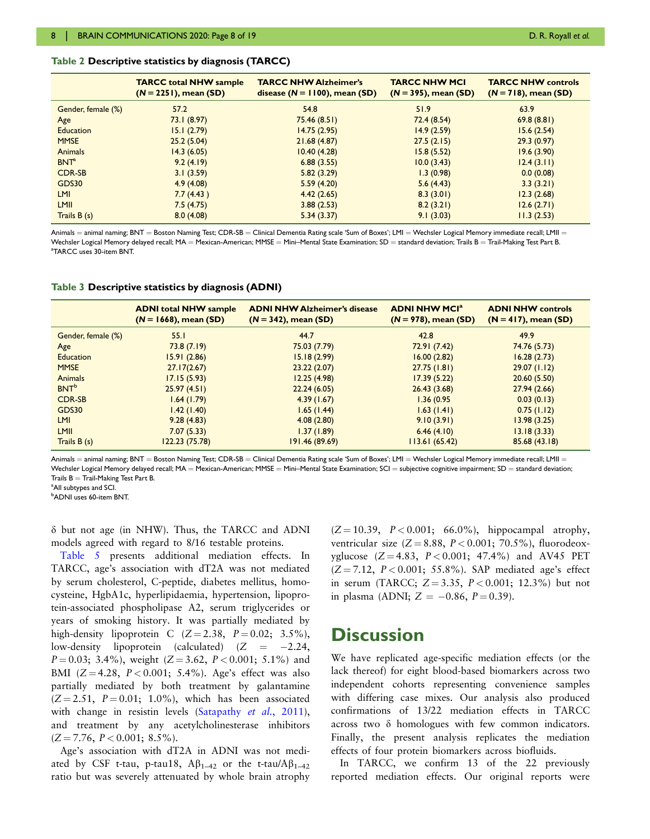#### <span id="page-7-0"></span>Table 2 Descriptive statistics by diagnosis (TARCC)

|                    | <b>TARCC total NHW sample</b><br>$(N = 2251)$ , mean (SD) | <b>TARCC NHW Alzheimer's</b><br>disease $(N = 1100)$ , mean $(SD)$ | <b>TARCC NHW MCI</b><br>$(N = 395)$ , mean (SD) | <b>TARCC NHW controls</b><br>$(N = 718)$ , mean (SD) |
|--------------------|-----------------------------------------------------------|--------------------------------------------------------------------|-------------------------------------------------|------------------------------------------------------|
| Gender, female (%) | 57.2                                                      | 54.8                                                               | 51.9                                            | 63.9                                                 |
| Age                | 73.1 (8.97)                                               | 75.46(8.51)                                                        | 72.4(8.54)                                      | 69.8(8.81)                                           |
| Education          | 15.1(2.79)                                                | 14.75(2.95)                                                        | 14.9(2.59)                                      | 15.6(2.54)                                           |
| <b>MMSE</b>        | 25.2(5.04)                                                | 21.68(4.87)                                                        | 27.5(2.15)                                      | 29.3(0.97)                                           |
| <b>Animals</b>     | 14.3(6.05)                                                | 10.40(4.28)                                                        | 15.8(5.52)                                      | 19.6(3.90)                                           |
| BNT <sup>a</sup>   | 9.2(4.19)                                                 | 6.88(3.55)                                                         | 10.0(3.43)                                      | 12.4(3.11)                                           |
| <b>CDR-SB</b>      | 3.1(3.59)                                                 | 5.82(3.29)                                                         | 1.3(0.98)                                       | 0.0(0.08)                                            |
| GDS30              | 4.9(4.08)                                                 | 5.59(4.20)                                                         | 5.6(4.43)                                       | 3.3(3.21)                                            |
| <b>LMI</b>         | 7.7(4.43)                                                 | 4.42(2.65)                                                         | 8.3(3.01)                                       | 12.3(2.68)                                           |
| <b>LMII</b>        | 7.5(4.75)                                                 | 3.88(2.53)                                                         | 8.2(3.21)                                       | 12.6(2.71)                                           |
| Trails $B(s)$      | 8.0(4.08)                                                 | 5.34(3.37)                                                         | 9.1(3.03)                                       | 11.3(2.53)                                           |

Animals = animal naming; BNT = Boston Naming Test; CDR-SB = Clinical Dementia Rating scale 'Sum of Boxes'; LMI = Wechsler Logical Memory immediate recall; LMII = Wechsler Logical Memory delayed recall; MA = Mexican-American; MMSE = Mini-Mental State Examination; SD = standard deviation; Trails B = Trail-Making Test Part B. a TARCC uses 30-item BNT.

#### Table 3 Descriptive statistics by diagnosis (ADNI)

|                    | <b>ADNI total NHW sample</b><br>$(N = 1668)$ , mean (SD) | <b>ADNI NHW Alzheimer's disease</b><br>$(N = 342)$ , mean (SD) | <b>ADNI NHW MCI<sup>a</sup></b><br>$(N = 978)$ , mean (SD) | <b>ADNI NHW controls</b><br>$(N = 417)$ , mean (SD) |
|--------------------|----------------------------------------------------------|----------------------------------------------------------------|------------------------------------------------------------|-----------------------------------------------------|
| Gender, female (%) | 55.1                                                     | 44.7                                                           | 42.8                                                       | 49.9                                                |
| Age                | 73.8(7.19)                                               | 75.03 (7.79)                                                   | 72.91 (7.42)                                               | 74.76 (5.73)                                        |
| <b>Education</b>   | 15.91(2.86)                                              | 15.18(2.99)                                                    | 16.00(2.82)                                                | 16.28(2.73)                                         |
| <b>MMSE</b>        | 27.17(2.67)                                              | 23.22(2.07)                                                    | 27.75(1.81)                                                | 29.07(1.12)                                         |
| <b>Animals</b>     | 17.15(5.93)                                              | 12.25(4.98)                                                    | 17.39(5.22)                                                | 20.60(5.50)                                         |
| BNT <sup>b</sup>   | 25.97(4.51)                                              | 22.24(6.05)                                                    | 26.43(3.68)                                                | 27.94(2.66)                                         |
| <b>CDR-SB</b>      | 1.64(1.79)                                               | 4.39(1.67)                                                     | 1.36(0.95)                                                 | 0.03(0.13)                                          |
| GDS30              | 1.42(1.40)                                               | 1.65(1.44)                                                     | 1.63(1.41)                                                 | 0.75(1.12)                                          |
| <b>LMI</b>         | 9.28(4.83)                                               | 4.08(2.80)                                                     | 9.10(3.91)                                                 | 13.98(3.25)                                         |
| <b>LMII</b>        | 7.07(5.33)                                               | 1.37(1.89)                                                     | 6.46(4.10)                                                 | 13.18(3.33)                                         |
| Trails $B(s)$      | 122.23(75.78)                                            | 191.46 (89.69)                                                 | 113.61(65.42)                                              | 85.68 (43.18)                                       |

Animals = animal naming; BNT = Boston Naming Test; CDR-SB = Clinical Dementia Rating scale 'Sum of Boxes'; LMI = Wechsler Logical Memory immediate recall; LMII = Wechsler Logical Memory delayed recall; MA = Mexican-American; MMSE = Mini–Mental State Examination; SCI = subjective cognitive impairment; SD = standard deviation; Trails  $B =$  Trail-Making Test Part B.

<sup>a</sup>All subtypes and SCI.

b ADNI uses 60-item BNT.

 $\delta$  but not age (in NHW). Thus, the TARCC and ADNI models agreed with regard to 8/16 testable proteins.

[Table 5](#page-10-0) presents additional mediation effects. In TARCC, age's association with dT2A was not mediated by serum cholesterol, C-peptide, diabetes mellitus, homocysteine, HgbA1c, hyperlipidaemia, hypertension, lipoprotein-associated phospholipase A2, serum triglycerides or years of smoking history. It was partially mediated by high-density lipoprotein C  $(Z = 2.38, P = 0.02; 3.5\%),$ low-density lipoprotein (calculated)  $(Z = -2.24,$  $P = 0.03$ ; 3.4%), weight (Z = 3.62, P < 0.001; 5.1%) and BMI  $(Z = 4.28, P < 0.001; 5.4\%)$ . Age's effect was also partially mediated by both treatment by galantamine  $(Z = 2.51, P = 0.01; 1.0\%)$ , which has been associated with change in resistin levels ([Satapathy](#page-14-0) et al., 2011), and treatment by any acetylcholinesterase inhibitors  $(Z = 7.76, P < 0.001; 8.5\%)$ .

Age's association with dT2A in ADNI was not mediated by CSF t-tau, p-tau18,  $A\beta_{1-42}$  or the t-tau/ $A\beta_{1-42}$ ratio but was severely attenuated by whole brain atrophy  $(Z = 10.39, P < 0.001; 66.0\%)$ , hippocampal atrophy, ventricular size  $(Z = 8.88, P < 0.001; 70.5\%)$ , fluorodeoxyglucose  $(Z = 4.83, P < 0.001; 47.4\%)$  and AV45 PET  $(Z = 7.12, P < 0.001; 55.8\%)$ . SAP mediated age's effect in serum (TARCC;  $Z = 3.35$ ,  $P < 0.001$ ; 12.3%) but not in plasma (ADNI;  $Z = -0.86$ ,  $P = 0.39$ ).

## **Discussion**

We have replicated age-specific mediation effects (or the lack thereof) for eight blood-based biomarkers across two independent cohorts representing convenience samples with differing case mixes. Our analysis also produced confirmations of 13/22 mediation effects in TARCC across two  $\delta$  homologues with few common indicators. Finally, the present analysis replicates the mediation effects of four protein biomarkers across biofluids.

In TARCC, we confirm 13 of the 22 previously reported mediation effects. Our original reports were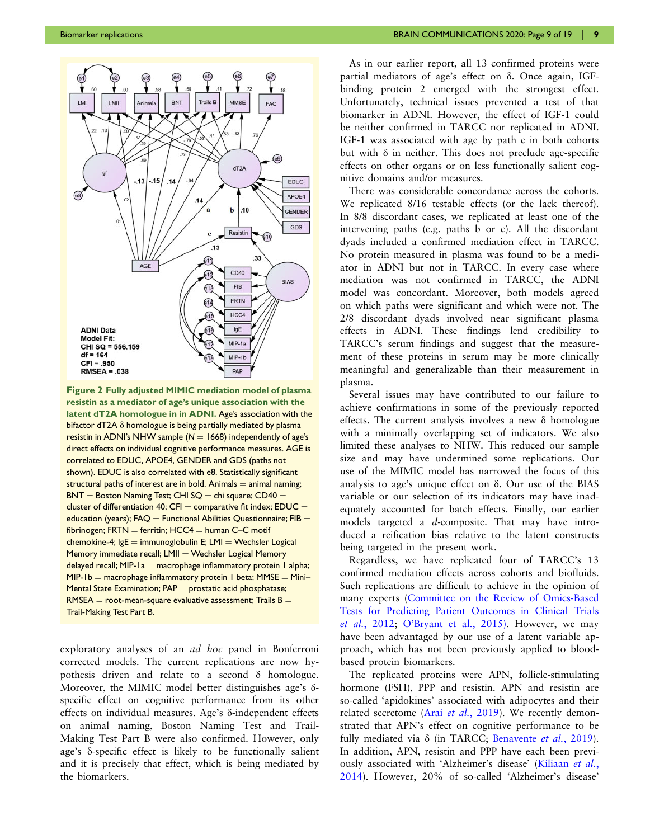<span id="page-8-0"></span>

Figure 2 Fully adjusted MIMIC mediation model of plasma resistin as a mediator of age's unique association with the latent dT2A homologue in in ADNI. Age's association with the bifactor dT2A  $\delta$  homologue is being partially mediated by plasma resistin in ADNI's NHW sample ( $N = 1668$ ) independently of age's direct effects on individual cognitive performance measures. AGE is correlated to EDUC, APOE4, GENDER and GDS (paths not shown). EDUC is also correlated with e8. Statistically significant structural paths of interest are in bold. Animals  $=$  animal naming;  $BNT = Boston$  Naming Test; CHI SQ  $=$  chi square; CD40  $=$ cluster of differentiation 40; CFI = comparative fit index; EDUC = education (years);  $FAQ = Functional$  Abilities Questionnaire;  $FIB =$ fibrinogen; FRTN  $=$  ferritin; HCC4  $=$  human C–C motif chemokine-4;  $lgE =$  immunoglobulin E; LMI = Wechsler Logical Memory immediate recall;  $LMI =$  Wechsler Logical Memory delayed recall; MIP-1a = macrophage inflammatory protein 1 alpha;  $MIP-Ib =$  macrophage inflammatory protein 1 beta; MMSE = Mini-Mental State Examination;  $PAP =$  prostatic acid phosphatase; RMSEA  $=$  root-mean-square evaluative assessment; Trails B  $=$ Trail-Making Test Part B.

exploratory analyses of an ad hoc panel in Bonferroni corrected models. The current replications are now hypothesis driven and relate to a second  $\delta$  homologue. Moreover, the MIMIC model better distinguishes age's  $\delta$ specific effect on cognitive performance from its other effects on individual measures. Age's  $\delta$ -independent effects on animal naming, Boston Naming Test and Trail-Making Test Part B were also confirmed. However, only age's  $\delta$ -specific effect is likely to be functionally salient and it is precisely that effect, which is being mediated by the biomarkers.

As in our earlier report, all 13 confirmed proteins were partial mediators of age's effect on  $\delta$ . Once again, IGFbinding protein 2 emerged with the strongest effect. Unfortunately, technical issues prevented a test of that biomarker in ADNI. However, the effect of IGF-1 could be neither confirmed in TARCC nor replicated in ADNI. IGF-1 was associated with age by path c in both cohorts but with  $\delta$  in neither. This does not preclude age-specific effects on other organs or on less functionally salient cognitive domains and/or measures.

There was considerable concordance across the cohorts. We replicated  $8/16$  testable effects (or the lack thereof). In 8/8 discordant cases, we replicated at least one of the intervening paths (e.g. paths b or c). All the discordant dyads included a confirmed mediation effect in TARCC. No protein measured in plasma was found to be a mediator in ADNI but not in TARCC. In every case where mediation was not confirmed in TARCC, the ADNI model was concordant. Moreover, both models agreed on which paths were significant and which were not. The 2/8 discordant dyads involved near significant plasma effects in ADNI. These findings lend credibility to TARCC's serum findings and suggest that the measurement of these proteins in serum may be more clinically meaningful and generalizable than their measurement in plasma.

Several issues may have contributed to our failure to achieve confirmations in some of the previously reported effects. The current analysis involves a new  $\delta$  homologue with a minimally overlapping set of indicators. We also limited these analyses to NHW. This reduced our sample size and may have undermined some replications. Our use of the MIMIC model has narrowed the focus of this analysis to age's unique effect on  $\delta$ . Our use of the BIAS variable or our selection of its indicators may have inadequately accounted for batch effects. Finally, our earlier models targeted a *d*-composite. That may have introduced a reification bias relative to the latent constructs being targeted in the present work.

Regardless, we have replicated four of TARCC's 13 confirmed mediation effects across cohorts and biofluids. Such replications are difficult to achieve in the opinion of many experts [\(Committee on the Review of Omics-Based](#page-13-0) [Tests for Predicting Patient Outcomes in Clinical Trials](#page-13-0) et al.[, 2012;](#page-13-0) [O'Bryant et al., 2015\)](#page-14-0). However, we may have been advantaged by our use of a latent variable approach, which has not been previously applied to bloodbased protein biomarkers.

The replicated proteins were APN, follicle-stimulating hormone (FSH), PPP and resistin. APN and resistin are so-called 'apidokines' associated with adipocytes and their related secretome (Arai et al.[, 2019](#page-13-0)). We recently demonstrated that APN's effect on cognitive performance to be fully mediated via  $\delta$  (in TARCC; [Benavente](#page-13-0) et al., 2019). In addition, APN, resistin and PPP have each been previously associated with 'Alzheimer's disease' ([Kiliaan](#page-13-0) et al., [2014\)](#page-13-0). However, 20% of so-called 'Alzheimer's disease'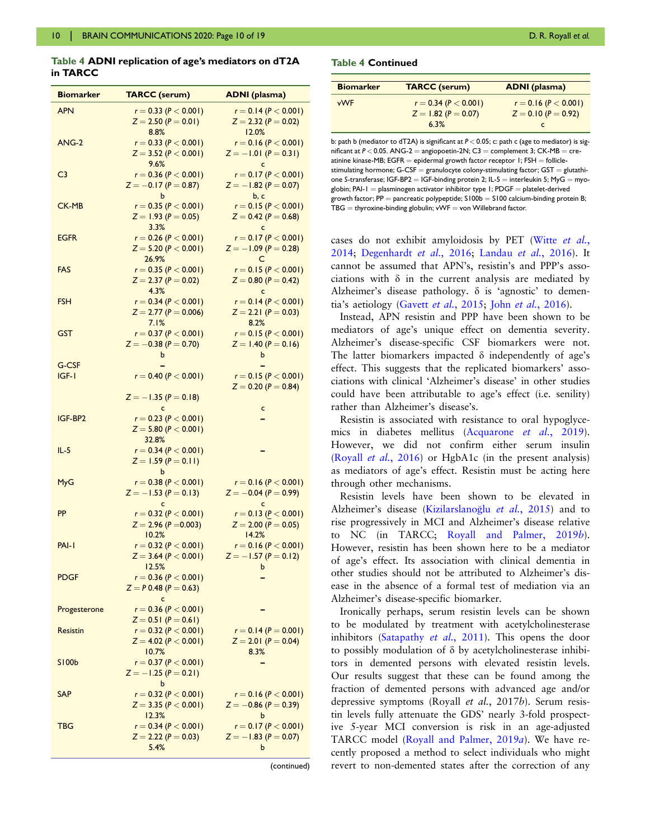<span id="page-9-0"></span>Table 4 ADNI replication of age's mediators on dT2A in TARCC

| <b>Biomarker</b> | <b>TARCC</b> (serum)                                                      | <b>ADNI</b> (plasma)                                       |
|------------------|---------------------------------------------------------------------------|------------------------------------------------------------|
| <b>APN</b>       | $r = 0.33 (P < 0.001)$<br>$Z = 2.50 (P = 0.01)$<br>8.8%                   | $r = 0.14 (P < 0.001)$<br>$Z = 2.32 (P = 0.02)$<br>12.0%   |
| ANG-2            | $r = 0.33 (P < 0.001)$<br>$Z = 3.52 (P < 0.001)$<br>9.6%                  | $r = 0.16 (P < 0.001)$<br>$Z = -1.01 (P = 0.31)$<br>c      |
| C <sub>3</sub>   | $r = 0.36 (P < 0.001)$<br>$Z = -0.17 (P = 0.87)$<br>b                     | $r = 0.17 (P < 0.001)$<br>$Z = -1.82 (P = 0.07)$<br>b, c   |
| CK-MB            | $r = 0.35 (P < 0.001)$<br>$Z = 1.93 (P = 0.05)$<br>3.3%                   | $r = 0.15 (P < 0.001)$<br>$Z = 0.42 (P = 0.68)$<br>c       |
| <b>EGFR</b>      | $r = 0.26 (P < 0.001)$<br>$Z = 5.20 (P < 0.001)$<br>26.9%                 | $r = 0.17 (P < 0.001)$<br>$Z = -1.09 (P = 0.28)$<br>С      |
| FAS              | $r = 0.35 (P < 0.001)$<br>$Z = 2.37 (P = 0.02)$                           | $r = 0.15 (P < 0.001)$<br>$Z = 0.80 (P = 0.42)$            |
| <b>FSH</b>       | 4.3%<br>$r = 0.34 (P < 0.001)$<br>$Z = 2.77 (P = 0.006)$                  | c<br>$r = 0.14 (P < 0.001)$<br>$Z = 2.21 (P = 0.03)$       |
| <b>GST</b>       | 7.1%<br>$r = 0.37 (P < 0.001)$<br>$Z = -0.38 (P = 0.70)$                  | 8.2%<br>$r = 0.15 (P < 0.001)$<br>$Z = 1.40 (P = 0.16)$    |
| G-CSF            | b                                                                         | b                                                          |
| $IGF-I$          | $r = 0.40 (P < 0.001)$                                                    | $r = 0.15 (P < 0.001)$<br>$Z = 0.20 (P = 0.84)$            |
|                  | $Z = -1.35 (P = 0.18)$                                                    | c                                                          |
| IGF-BP2          | $r = 0.23 (P < 0.001)$<br>$Z = 5.80 (P < 0.001)$<br>32.8%                 |                                                            |
| $IL-5$           | $r = 0.34 (P < 0.001)$<br>$Z = 1.59 (P = 0.11)$                           |                                                            |
| MyG              | b<br>$r = 0.38 (P < 0.001)$<br>$Z = -1.53 (P = 0.13)$                     | $r = 0.16 (P < 0.001)$<br>$Z = -0.04 (P = 0.99)$           |
| <b>PP</b>        | $r = 0.32 (P < 0.001)$<br>$Z = 2.96 (P = 0.003)$                          | C<br>$r = 0.13 (P < 0.001)$<br>$Z = 2.00 (P = 0.05)$       |
| PAI-I            | 10.2%<br>$r = 0.32 (P < 0.001)$<br>$Z = 3.64 (P < 0.001)$                 | 14.2%<br>$r = 0.16 (P < 0.001)$<br>$Z = -1.57 (P = 0.12)$  |
| <b>PDGF</b>      | 12.5%<br>$r = 0.36 (P < 0.001)$<br>$Z = P 0.48 (P = 0.63)$                | b                                                          |
| Progesterone     | c<br>$r = 0.36 (P < 0.001)$                                               |                                                            |
| <b>Resistin</b>  | $Z = 0.51 (P = 0.61)$<br>$r = 0.32 (P < 0.001)$<br>$Z = 4.02 (P < 0.001)$ | $r = 0.14 (P = 0.001)$<br>$Z = 2.01 (P = 0.04)$            |
| S100b            | 10.7%<br>$r = 0.37 (P < 0.001)$<br>$Z = -1.25 (P = 0.21)$                 | 8.3%                                                       |
| <b>SAP</b>       | b<br>$r = 0.32 (P < 0.001)$<br>$Z = 3.35 (P < 0.001)$                     | $r = 0.16 (P < 0.001)$<br>$Z = -0.86 (P = 0.39)$           |
| TBG              | 12.3%<br>$r = 0.34 (P < 0.001)$<br>$Z = 2.22 (P = 0.03)$<br>5.4%          | b<br>$r = 0.17 (P < 0.001)$<br>$Z = -1.83 (P = 0.07)$<br>b |
|                  |                                                                           |                                                            |

(continued)

#### Table 4 Continued

| <b>Biomarker</b> | <b>TARCC</b> (serum)   | <b>ADNI</b> (plasma)   |
|------------------|------------------------|------------------------|
| <b>vWF</b>       | $r = 0.34 (P < 0.001)$ | $r = 0.16 (P < 0.001)$ |
|                  | $Z = 1.82 (P = 0.07)$  | $Z = 0.10 (P = 0.92)$  |
|                  | 6.3%                   |                        |

b: path b (mediator to dT2A) is significant at  $P < 0.05$ ; c: path c (age to mediator) is significant at  $P < 0.05$ . ANG-2 = angiopoetin-2N; C3 = complement 3; CK-MB = creatinine kinase-MB; EGFR  $=$  epidermal growth factor receptor 1; FSH  $=$  folliclestimulating hormone;  $G-CSF =$  granulocyte colony-stimulating factor;  $GST =$  glutathione S-transferase; IGF-BP2 = IGF-binding protein 2; IL-5 = interleukin 5; MyG = myoglobin; PAI-1 = plasminogen activator inhibitor type 1; PDGF = platelet-derived growth factor;  $PP =$  pancreatic polypeptide;  $S100b = S100$  calcium-binding protein B;  $TBG =$  thyroxine-binding globulin; vWF  $=$  von Willebrand factor.

cases do not exhibit amyloidosis by PET (Witte [et al.](#page-15-0), [2014](#page-15-0); [Degenhardt](#page-13-0) et al., 2016; [Landau](#page-13-0) et al., 2016). It cannot be assumed that APN's, resistin's and PPP's associations with  $\delta$  in the current analysis are mediated by Alzheimer's disease pathology.  $\delta$  is 'agnostic' to dementia's aetiology (Gavett et al.[, 2015;](#page-13-0) John et al.[, 2016\)](#page-13-0).

Instead, APN resistin and PPP have been shown to be mediators of age's unique effect on dementia severity. Alzheimer's disease-specific CSF biomarkers were not. The latter biomarkers impacted  $\delta$  independently of age's effect. This suggests that the replicated biomarkers' associations with clinical 'Alzheimer's disease' in other studies could have been attributable to age's effect (i.e. senility) rather than Alzheimer's disease's.

Resistin is associated with resistance to oral hypoglyce-mics in diabetes mellitus ([Acquarone](#page-13-0) et al., 2019). However, we did not confirm either serum insulin (Royall et al.[, 2016\)](#page-14-0) or HgbA1c (in the present analysis) as mediators of age's effect. Resistin must be acting here through other mechanisms.

Resistin levels have been shown to be elevated in Alzheimer's disease [\(Kizilarslano](#page-13-0)ğlu et al.[, 2015\)](#page-13-0) and to rise progressively in MCI and Alzheimer's disease relative to NC (in TARCC; [Royall and Palmer, 2019](#page-14-0)b). However, resistin has been shown here to be a mediator of age's effect. Its association with clinical dementia in other studies should not be attributed to Alzheimer's disease in the absence of a formal test of mediation via an Alzheimer's disease-specific biomarker.

Ironically perhaps, serum resistin levels can be shown to be modulated by treatment with acetylcholinesterase inhibitors [\(Satapathy](#page-14-0) et al., 2011). This opens the door to possibly modulation of  $\delta$  by acetylcholinesterase inhibitors in demented persons with elevated resistin levels. Our results suggest that these can be found among the fraction of demented persons with advanced age and/or depressive symptoms (Royall et al., 2017b). Serum resistin levels fully attenuate the GDS' nearly 3-fold prospective 5-year MCI conversion is risk in an age-adjusted TARCC model [\(Royall and Palmer, 2019](#page-14-0)a). We have recently proposed a method to select individuals who might revert to non-demented states after the correction of any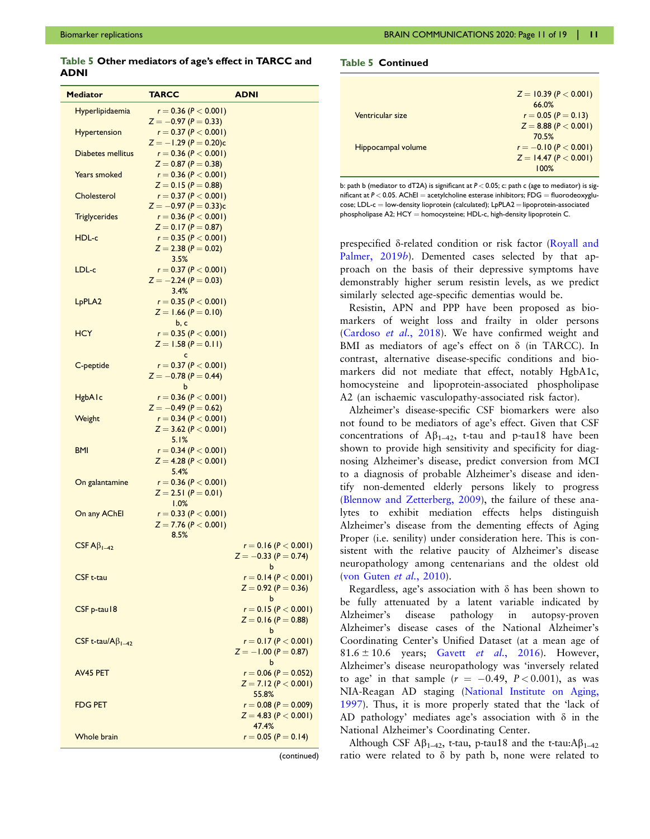<span id="page-10-0"></span>Table 5 Other mediators of age's effect in TARCC and ADNI

| <b>Mediator</b>        | <b>TARCC</b>                                                               | <b>ADNI</b>                                               |
|------------------------|----------------------------------------------------------------------------|-----------------------------------------------------------|
| Hyperlipidaemia        | $r = 0.36 (P < 0.001)$<br>$Z = -0.97$ (P = 0.33)                           |                                                           |
| Hypertension           | $r = 0.37 (P < 0.001)$                                                     |                                                           |
| Diabetes mellitus      | $Z = -1.29$ (P = 0.20)c<br>$r = 0.36 (P < 0.001)$                          |                                                           |
| Years smoked           | $Z = 0.87 (P = 0.38)$<br>$r = 0.36 (P < 0.001)$                            |                                                           |
| Cholesterol            | $Z = 0.15$ (P = 0.88)<br>$r = 0.37 (P < 0.001)$                            |                                                           |
| <b>Triglycerides</b>   | $Z = -0.97$ (P = 0.33)c<br>$r = 0.36 (P < 0.001)$                          |                                                           |
| HDL-c                  | $Z = 0.17 (P = 0.87)$<br>$r = 0.35 (P < 0.001)$<br>$Z = 2.38 (P = 0.02)$   |                                                           |
| LDL-c                  | 3.5%<br>$r = 0.37 (P < 0.001)$<br>$Z = -2.24 (P = 0.03)$                   |                                                           |
| LpPLA <sub>2</sub>     | 3.4%<br>$r = 0.35 (P < 0.001)$<br>$Z = 1.66 (P = 0.10)$                    |                                                           |
| <b>HCY</b>             | b, c<br>$r = 0.35 (P < 0.001)$<br>$Z = 1.58 (P = 0.11)$                    |                                                           |
| C-peptide              | c<br>$r = 0.37 (P < 0.001)$<br>$Z = -0.78$ (P = 0.44)                      |                                                           |
| HgbAlc                 | b<br>$r = 0.36 (P < 0.001)$                                                |                                                           |
| Weight                 | $Z = -0.49$ (P = 0.62)<br>$r = 0.34 (P < 0.001)$<br>$Z = 3.62 (P < 0.001)$ |                                                           |
| <b>BMI</b>             | 5.1%<br>$r = 0.34 (P < 0.001)$<br>$Z = 4.28 (P < 0.001)$                   |                                                           |
| On galantamine         | 5.4%<br>$r = 0.36 (P < 0.001)$<br>$Z = 2.51 (P = 0.01)$                    |                                                           |
| On any AChEI           | 1.0%<br>$r = 0.33 (P < 0.001)$<br>$Z = 7.76 (P < 0.001)$<br>8.5%           |                                                           |
| CSF $AB_{1-42}$        |                                                                            | $r = 0.16 (P < 0.001)$<br>$Z = -0.33$ (P = 0.74)          |
| CSF t-tau              |                                                                            | b<br>$r = 0.14 (P < 0.001)$<br>$Z = 0.92 (P = 0.36)$      |
| $CSF$ p-taul8          |                                                                            | b<br>$r = 0.15 (P < 0.001)$<br>$Z = 0.16 (P = 0.88)$      |
| CSF t-tau/ $AB_{1-42}$ |                                                                            | b<br>$r = 0.17 (P < 0.001)$<br>$Z = -1.00 (P = 0.87)$     |
| AV45 PET               |                                                                            | b<br>$r = 0.06 (P = 0.052)$<br>$Z = 7.12 (P < 0.001)$     |
| <b>FDG PET</b>         |                                                                            | 55.8%<br>$r = 0.08 (P = 0.009)$<br>$Z = 4.83 (P < 0.001)$ |
| <b>Whole brain</b>     |                                                                            | 47.4%<br>$r = 0.05 (P = 0.14)$<br><i>(continued)</i>      |

#### Table 5 Continued

|                    | $Z = 10.39 (P < 0.001)$ |
|--------------------|-------------------------|
|                    | 66.0%                   |
| Ventricular size   | $r = 0.05 (P = 0.13)$   |
|                    | $Z = 8.88 (P < 0.001)$  |
|                    | 70.5%                   |
| Hippocampal volume | $r = -0.10 (P < 0.001)$ |
|                    | $Z = 14.47 (P < 0.001)$ |
|                    | 100%                    |
|                    |                         |

b: path b (mediator to dT2A) is significant at  $P < 0.05$ ; c: path c (age to mediator) is significant at  $P < 0.05$ . AChEI = acetylcholine esterase inhibitors; FDG = fluorodeoxyglu- $\csc$ ; LDL-c = low-density lioprotein (calculated); LpPLA2 = lipoprotein-associated phospholipase A2; HCY = homocysteine; HDL-c, high-density lipoprotein C.

prespecified  $\delta$ -related condition or risk factor [\(Royall and](#page-14-0) [Palmer, 2019](#page-14-0)b). Demented cases selected by that approach on the basis of their depressive symptoms have demonstrably higher serum resistin levels, as we predict similarly selected age-specific dementias would be.

Resistin, APN and PPP have been proposed as biomarkers of weight loss and frailty in older persons ([Cardoso](#page-13-0) et al., 2018). We have confirmed weight and BMI as mediators of age's effect on  $\delta$  (in TARCC). In contrast, alternative disease-specific conditions and biomarkers did not mediate that effect, notably HgbA1c, homocysteine and lipoprotein-associated phospholipase A2 (an ischaemic vasculopathy-associated risk factor).

Alzheimer's disease-specific CSF biomarkers were also not found to be mediators of age's effect. Given that CSF concentrations of  $\mathbf{A}\beta_{1-42}$ , t-tau and p-tau18 have been shown to provide high sensitivity and specificity for diagnosing Alzheimer's disease, predict conversion from MCI to a diagnosis of probable Alzheimer's disease and identify non-demented elderly persons likely to progress ([Blennow and Zetterberg, 2009](#page-13-0)), the failure of these analytes to exhibit mediation effects helps distinguish Alzheimer's disease from the dementing effects of Aging Proper (i.e. senility) under consideration here. This is consistent with the relative paucity of Alzheimer's disease neuropathology among centenarians and the oldest old ([von Guten](#page-14-0) et al., 2010).

Regardless, age's association with  $\delta$  has been shown to be fully attenuated by a latent variable indicated by Alzheimer's disease pathology in autopsy-proven Alzheimer's disease cases of the National Alzheimer's Coordinating Center's Unified Dataset (at a mean age of 81.6  $\pm$  10.6 years; Gavett *et al.*[, 2016](#page-13-0)). However, Alzheimer's disease neuropathology was 'inversely related to age' in that sample  $(r = -0.49, P < 0.001)$ , as was NIA-Reagan AD staging ([National Institute on Aging,](#page-14-0) [1997\)](#page-14-0). Thus, it is more properly stated that the 'lack of AD pathology' mediates age's association with  $\delta$  in the National Alzheimer's Coordinating Center.

Although CSF  $\mathbf{A}\beta_{1-42}$ , t-tau, p-tau18 and the t-tau: $\mathbf{A}\beta_{1-42}$ ratio were related to  $\delta$  by path b, none were related to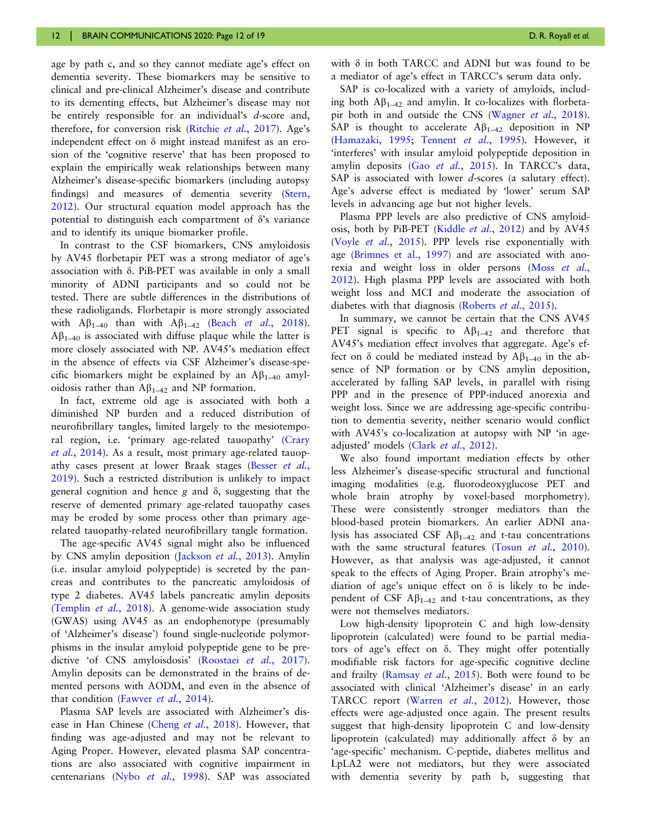age by path c, and so they cannot mediate age's effect on dementia severity. These biomarkers may be sensitive to clinical and pre-clinical Alzheimer's disease and contribute to its dementing effects, but Alzheimer's disease may not be entirely responsible for an individual's d-score and, therefore, for conversion risk [\(Ritchie](#page-14-0) et al., 2017). Age's independent effect on  $\delta$  might instead manifest as an erosion of the 'cognitive reserve' that has been proposed to explain the empirically weak relationships between many Alzheimer's disease-specific biomarkers (including autopsy findings) and measures of dementia severity ([Stern,](#page-14-0) [2012](#page-14-0)). Our structural equation model approach has the potential to distinguish each compartment of  $\delta$ 's variance and to identify its unique biomarker profile.

In contrast to the CSF biomarkers, CNS amyloidosis by AV45 florbetapir PET was a strong mediator of age's association with  $\delta$ . PiB-PET was available in only a small minority of ADNI participants and so could not be tested. There are subtle differences in the distributions of these radioligands. Florbetapir is more strongly associated with  $A\beta_{1-40}$  than with  $A\beta_{1-42}$  (Beach *et al.*[, 2018](#page-13-0)).  $A\beta_{1-40}$  is associated with diffuse plaque while the latter is more closely associated with NP. AV45's mediation effect in the absence of effects via CSF Alzheimer's disease-specific biomarkers might be explained by an  $\mathbf{A}\beta_{1-40}$  amyloidosis rather than  $A\beta_{1-42}$  and NP formation.

In fact, extreme old age is associated with both a diminished NP burden and a reduced distribution of neurofibrillary tangles, limited largely to the mesiotemporal region, i.e. 'primary age-related tauopathy' [\(Crary](#page-13-0) et al.[, 2014](#page-13-0)). As a result, most primary age-related tauopathy cases present at lower Braak stages [\(Besser](#page-13-0) et al., [2019](#page-13-0)). Such a restricted distribution is unlikely to impact general cognition and hence g and  $\delta$ , suggesting that the reserve of demented primary age-related tauopathy cases may be eroded by some process other than primary agerelated tauopathy-related neurofibrillary tangle formation.

The age-specific AV45 signal might also be influenced by CNS amylin deposition [\(Jackson](#page-13-0) et al., 2013). Amylin (i.e. insular amyloid polypeptide) is secreted by the pancreas and contributes to the pancreatic amyloidosis of type 2 diabetes. AV45 labels pancreatic amylin deposits [\(Templin](#page-14-0) et al., 2018). A genome-wide association study (GWAS) using AV45 as an endophenotype (presumably of 'Alzheimer's disease') found single-nucleotide polymorphisms in the insular amyloid polypeptide gene to be pre-dictive 'of CNS amyloisdosis' ([Roostaei](#page-14-0) et al., 2017). Amylin deposits can be demonstrated in the brains of demented persons with AODM, and even in the absence of that condition ([Fawver](#page-13-0) et al., 2014).

Plasma SAP levels are associated with Alzheimer's dis-ease in Han Chinese (Cheng et al.[, 2018](#page-13-0)). However, that finding was age-adjusted and may not be relevant to Aging Proper. However, elevated plasma SAP concentrations are also associated with cognitive impairment in centenarians (Nybo et al.[, 1998\)](#page-14-0). SAP was associated

with  $\delta$  in both TARCC and ADNI but was found to be a mediator of age's effect in TARCC's serum data only.

SAP is co-localized with a variety of amyloids, including both  $A\beta_{1-42}$  and amylin. It co-localizes with florbeta-pir both in and outside the CNS [\(Wagner](#page-15-0) et al., 2018). SAP is thought to accelerate  $A\beta_{1-42}$  deposition in NP [\(Hamazaki, 1995](#page-13-0); [Tennent](#page-14-0) et al., 1995). However, it 'interferes' with insular amyloid polypeptide deposition in amylin deposits (Gao et al.[, 2015\)](#page-13-0). In TARCC's data, SAP is associated with lower *d*-scores (a salutary effect). Age's adverse effect is mediated by 'lower' serum SAP levels in advancing age but not higher levels.

Plasma PPP levels are also predictive of CNS amyloid-osis, both by PiB-PET (Kiddle et al.[, 2012](#page-13-0)) and by AV45 (Voyle et al.[, 2015\)](#page-14-0). PPP levels rise exponentially with age ([Brimnes et al., 1997\)](#page-13-0) and are associated with anorexia and weight loss in older persons (Moss [et al.](#page-14-0), [2012](#page-14-0)). High plasma PPP levels are associated with both weight loss and MCI and moderate the association of diabetes with that diagnosis [\(Roberts](#page-14-0) et al., 2015).

In summary, we cannot be certain that the CNS AV45 PET signal is specific to  $\mathbf{A}\beta_{1-42}$  and therefore that AV45's mediation effect involves that aggregate. Age's effect on  $\delta$  could be mediated instead by A $\beta_{1-40}$  in the absence of NP formation or by CNS amylin deposition, accelerated by falling SAP levels, in parallel with rising PPP and in the presence of PPP-induced anorexia and weight loss. Since we are addressing age-specific contribution to dementia severity, neither scenario would conflict with AV45's co-localization at autopsy with NP 'in ageadjusted' models (Clark et al.[, 2012](#page-13-0)).

We also found important mediation effects by other less Alzheimer's disease-specific structural and functional imaging modalities (e.g. fluorodeoxyglucose PET and whole brain atrophy by voxel-based morphometry). These were consistently stronger mediators than the blood-based protein biomarkers. An earlier ADNI analysis has associated CSF  $\mathbf{A}\beta_{1-42}$  and t-tau concentrations with the same structural features (Tosun et al.[, 2010](#page-14-0)). However, as that analysis was age-adjusted, it cannot speak to the effects of Aging Proper. Brain atrophy's mediation of age's unique effect on  $\delta$  is likely to be independent of CSF  $A\beta_{1-42}$  and t-tau concentrations, as they were not themselves mediators.

Low high-density lipoprotein C and high low-density lipoprotein (calculated) were found to be partial mediators of age's effect on  $\delta$ . They might offer potentially modifiable risk factors for age-specific cognitive decline and frailty [\(Ramsay](#page-14-0) et al., 2015). Both were found to be associated with clinical 'Alzheimer's disease' in an early TARCC report [\(Warren](#page-15-0) et al., 2012). However, those effects were age-adjusted once again. The present results suggest that high-density lipoprotein C and low-density lipoprotein (calculated) may additionally affect  $\delta$  by an 'age-specific' mechanism. C-peptide, diabetes mellitus and LpLA2 were not mediators, but they were associated with dementia severity by path b, suggesting that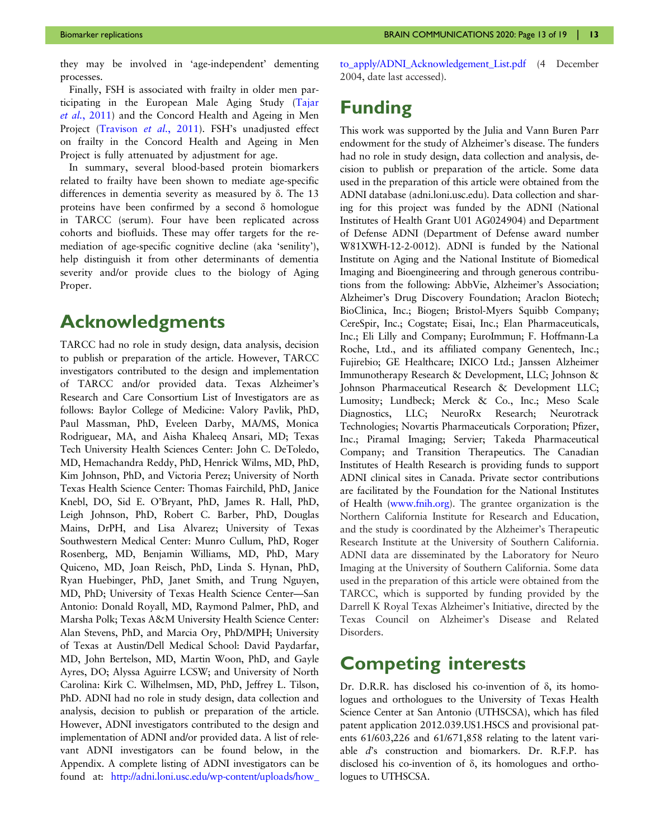they may be involved in 'age-independent' dementing processes.

Finally, FSH is associated with frailty in older men participating in the European Male Aging Study ([Tajar](#page-14-0) et al.[, 2011](#page-14-0)) and the Concord Health and Ageing in Men Project ([Travison](#page-14-0) et al., 2011). FSH's unadjusted effect on frailty in the Concord Health and Ageing in Men Project is fully attenuated by adjustment for age.

In summary, several blood-based protein biomarkers related to frailty have been shown to mediate age-specific differences in dementia severity as measured by  $\delta$ . The 13 proteins have been confirmed by a second  $\delta$  homologue in TARCC (serum). Four have been replicated across cohorts and biofluids. These may offer targets for the remediation of age-specific cognitive decline (aka 'senility'), help distinguish it from other determinants of dementia severity and/or provide clues to the biology of Aging Proper.

## Acknowledgments

TARCC had no role in study design, data analysis, decision to publish or preparation of the article. However, TARCC investigators contributed to the design and implementation of TARCC and/or provided data. Texas Alzheimer's Research and Care Consortium List of Investigators are as follows: Baylor College of Medicine: Valory Pavlik, PhD, Paul Massman, PhD, Eveleen Darby, MA/MS, Monica Rodriguear, MA, and Aisha Khaleeq Ansari, MD; Texas Tech University Health Sciences Center: John C. DeToledo, MD, Hemachandra Reddy, PhD, Henrick Wilms, MD, PhD, Kim Johnson, PhD, and Victoria Perez; University of North Texas Health Science Center: Thomas Fairchild, PhD, Janice Knebl, DO, Sid E. O'Bryant, PhD, James R. Hall, PhD, Leigh Johnson, PhD, Robert C. Barber, PhD, Douglas Mains, DrPH, and Lisa Alvarez; University of Texas Southwestern Medical Center: Munro Cullum, PhD, Roger Rosenberg, MD, Benjamin Williams, MD, PhD, Mary Quiceno, MD, Joan Reisch, PhD, Linda S. Hynan, PhD, Ryan Huebinger, PhD, Janet Smith, and Trung Nguyen, MD, PhD; University of Texas Health Science Center—San Antonio: Donald Royall, MD, Raymond Palmer, PhD, and Marsha Polk; Texas A&M University Health Science Center: Alan Stevens, PhD, and Marcia Ory, PhD/MPH; University of Texas at Austin/Dell Medical School: David Paydarfar, MD, John Bertelson, MD, Martin Woon, PhD, and Gayle Ayres, DO; Alyssa Aguirre LCSW; and University of North Carolina: Kirk C. Wilhelmsen, MD, PhD, Jeffrey L. Tilson, PhD. ADNI had no role in study design, data collection and analysis, decision to publish or preparation of the article. However, ADNI investigators contributed to the design and implementation of ADNI and/or provided data. A list of relevant ADNI investigators can be found below, in the Appendix. A complete listing of ADNI investigators can be found at: [http://adni.loni.usc.edu/wp-content/uploads/how\\_](http://adni.loni.usc.edu/wp-content/uploads/how_to_apply/ADNI_Acknowledgement_List.pdf) [to\\_apply/ADNI\\_Acknowledgement\\_List.pdf](http://adni.loni.usc.edu/wp-content/uploads/how_to_apply/ADNI_Acknowledgement_List.pdf) (4 December 2004, date last accessed).

## Funding

This work was supported by the Julia and Vann Buren Parr endowment for the study of Alzheimer's disease. The funders had no role in study design, data collection and analysis, decision to publish or preparation of the article. Some data used in the preparation of this article were obtained from the ADNI database (adni.loni.usc.edu). Data collection and sharing for this project was funded by the ADNI (National Institutes of Health Grant U01 AG024904) and Department of Defense ADNI (Department of Defense award number W81XWH-12-2-0012). ADNI is funded by the National Institute on Aging and the National Institute of Biomedical Imaging and Bioengineering and through generous contributions from the following: AbbVie, Alzheimer's Association; Alzheimer's Drug Discovery Foundation; Araclon Biotech; BioClinica, Inc.; Biogen; Bristol-Myers Squibb Company; CereSpir, Inc.; Cogstate; Eisai, Inc.; Elan Pharmaceuticals, Inc.; Eli Lilly and Company; EuroImmun; F. Hoffmann-La Roche, Ltd., and its affiliated company Genentech, Inc.; Fujirebio; GE Healthcare; IXICO Ltd.; Janssen Alzheimer Immunotherapy Research & Development, LLC; Johnson & Johnson Pharmaceutical Research & Development LLC; Lumosity; Lundbeck; Merck & Co., Inc.; Meso Scale Diagnostics, LLC; NeuroRx Research; Neurotrack Technologies; Novartis Pharmaceuticals Corporation; Pfizer, Inc.; Piramal Imaging; Servier; Takeda Pharmaceutical Company; and Transition Therapeutics. The Canadian Institutes of Health Research is providing funds to support ADNI clinical sites in Canada. Private sector contributions are facilitated by the Foundation for the National Institutes of Health ([www.fnih.org](http://www.fnih.org)). The grantee organization is the Northern California Institute for Research and Education, and the study is coordinated by the Alzheimer's Therapeutic Research Institute at the University of Southern California. ADNI data are disseminated by the Laboratory for Neuro Imaging at the University of Southern California. Some data used in the preparation of this article were obtained from the TARCC, which is supported by funding provided by the Darrell K Royal Texas Alzheimer's Initiative, directed by the Texas Council on Alzheimer's Disease and Related Disorders.

## Competing interests

Dr. D.R.R. has disclosed his co-invention of  $\delta$ , its homologues and orthologues to the University of Texas Health Science Center at San Antonio (UTHSCSA), which has filed patent application 2012.039.US1.HSCS and provisional patents 61/603,226 and 61/671,858 relating to the latent variable d's construction and biomarkers. Dr. R.F.P. has disclosed his co-invention of  $\delta$ , its homologues and orthologues to UTHSCSA.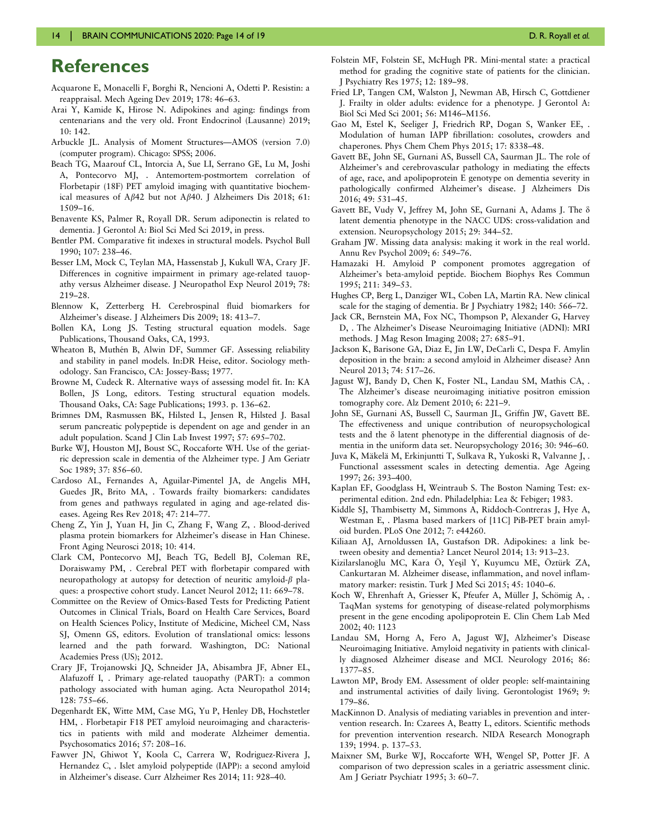## <span id="page-13-0"></span>**References**

- Acquarone E, Monacelli F, Borghi R, Nencioni A, Odetti P. Resistin: a reappraisal. Mech Ageing Dev 2019; 178: 46–63.
- Arai Y, Kamide K, Hirose N. Adipokines and aging: findings from centenarians and the very old. Front Endocrinol (Lausanne) 2019;  $10 \cdot 142$
- Arbuckle JL. Analysis of Moment Structures—AMOS (version 7.0) (computer program). Chicago: SPSS; 2006.
- Beach TG, Maarouf CL, Intorcia A, Sue LI, Serrano GE, Lu M, Joshi A, Pontecorvo MJ, . Antemortem-postmortem correlation of Florbetapir (18F) PET amyloid imaging with quantitative biochemical measures of A $\beta$ 42 but not A $\beta$ 40. J Alzheimers Dis 2018; 61: 1509–16.
- Benavente KS, Palmer R, Royall DR. Serum adiponectin is related to dementia. J Gerontol A: Biol Sci Med Sci 2019, in press.
- Bentler PM. Comparative fit indexes in structural models. Psychol Bull 1990; 107: 238–46.
- Besser LM, Mock C, Teylan MA, Hassenstab J, Kukull WA, Crary JF. Differences in cognitive impairment in primary age-related tauopathy versus Alzheimer disease. J Neuropathol Exp Neurol 2019; 78: 219–28.
- Blennow K, Zetterberg H. Cerebrospinal fluid biomarkers for Alzheimer's disease. J Alzheimers Dis 2009; 18: 413–7.
- Bollen KA, Long JS. Testing structural equation models. Sage Publications, Thousand Oaks, CA, 1993.
- Wheaton B, Muthén B, Alwin DF, Summer GF. Assessing reliability and stability in panel models. In:DR Heise, editor. Sociology methodology. San Francisco, CA: Jossey-Bass; 1977.
- Browne M, Cudeck R. Alternative ways of assessing model fit. In: KA Bollen, JS Long, editors. Testing structural equation models. Thousand Oaks, CA: Sage Publications; 1993. p. 136–62.
- Brimnes DM, Rasmussen BK, Hilsted L, Jensen R, Hilsted J. Basal serum pancreatic polypeptide is dependent on age and gender in an adult population. Scand J Clin Lab Invest 1997; 57: 695–702.
- Burke WJ, Houston MJ, Boust SC, Roccaforte WH. Use of the geriatric depression scale in dementia of the Alzheimer type. J Am Geriatr Soc 1989; 37: 856–60.
- Cardoso AL, Fernandes A, Aguilar-Pimentel JA, de Angelis MH, Guedes JR, Brito MA, . Towards frailty biomarkers: candidates from genes and pathways regulated in aging and age-related diseases. Ageing Res Rev 2018; 47: 214–77.
- Cheng Z, Yin J, Yuan H, Jin C, Zhang F, Wang Z, . Blood-derived plasma protein biomarkers for Alzheimer's disease in Han Chinese. Front Aging Neurosci 2018; 10: 414.
- Clark CM, Pontecorvo MJ, Beach TG, Bedell BJ, Coleman RE, Doraiswamy PM, . Cerebral PET with florbetapir compared with neuropathology at autopsy for detection of neuritic amyloid- $\beta$  plaques: a prospective cohort study. Lancet Neurol 2012; 11: 669–78.
- Committee on the Review of Omics-Based Tests for Predicting Patient Outcomes in Clinical Trials, Board on Health Care Services, Board on Health Sciences Policy, Institute of Medicine, Micheel CM, Nass SJ, Omenn GS, editors. Evolution of translational omics: lessons learned and the path forward. Washington, DC: National Academies Press (US); 2012.
- Crary JF, Trojanowski JQ, Schneider JA, Abisambra JF, Abner EL, Alafuzoff I, . Primary age-related tauopathy (PART): a common pathology associated with human aging. Acta Neuropathol 2014; 128: 755–66.
- Degenhardt EK, Witte MM, Case MG, Yu P, Henley DB, Hochstetler HM, . Florbetapir F18 PET amyloid neuroimaging and characteristics in patients with mild and moderate Alzheimer dementia. Psychosomatics 2016; 57: 208–16.
- Fawver JN, Ghiwot Y, Koola C, Carrera W, Rodriguez-Rivera J, Hernandez C, . Islet amyloid polypeptide (IAPP): a second amyloid in Alzheimer's disease. Curr Alzheimer Res 2014; 11: 928–40.
- Folstein MF, Folstein SE, McHugh PR. Mini-mental state: a practical method for grading the cognitive state of patients for the clinician. J Psychiatry Res 1975; 12: 189–98.
- Fried LP, Tangen CM, Walston J, Newman AB, Hirsch C, Gottdiener J. Frailty in older adults: evidence for a phenotype. J Gerontol A: Biol Sci Med Sci 2001; 56: M146–M156.
- Gao M, Estel K, Seeliger J, Friedrich RP, Dogan S, Wanker EE, . Modulation of human IAPP fibrillation: cosolutes, crowders and chaperones. Phys Chem Chem Phys 2015; 17: 8338–48.
- Gavett BE, John SE, Gurnani AS, Bussell CA, Saurman JL. The role of Alzheimer's and cerebrovascular pathology in mediating the effects of age, race, and apolipoprotein E genotype on dementia severity in pathologically confirmed Alzheimer's disease. J Alzheimers Dis 2016; 49: 531–45.
- Gavett BE, Vudy V, Jeffrey M, John SE, Gurnani A, Adams J. The  $\delta$ latent dementia phenotype in the NACC UDS: cross-validation and extension. Neuropsychology 2015; 29: 344–52.
- Graham JW. Missing data analysis: making it work in the real world. Annu Rev Psychol 2009; 6: 549–76.
- Hamazaki H. Amyloid P component promotes aggregation of Alzheimer's beta-amyloid peptide. Biochem Biophys Res Commun 1995; 211: 349–53.
- Hughes CP, Berg L, Danziger WL, Coben LA, Martin RA. New clinical scale for the staging of dementia. Br J Psychiatry 1982; 140: 566–72.
- Jack CR, Bernstein MA, Fox NC, Thompson P, Alexander G, Harvey D, . The Alzheimer's Disease Neuroimaging Initiative (ADNI): MRI methods. J Mag Reson Imaging 2008; 27: 685–91.
- Jackson K, Barisone GA, Diaz E, Jin LW, DeCarli C, Despa F. Amylin deposition in the brain: a second amyloid in Alzheimer disease? Ann Neurol 2013; 74: 517–26.
- Jagust WJ, Bandy D, Chen K, Foster NL, Landau SM, Mathis CA, . The Alzheimer's disease neuroimaging initiative positron emission tomography core. Alz Dement 2010; 6: 221–9.
- John SE, Gurnani AS, Bussell C, Saurman JL, Griffin JW, Gavett BE. The effectiveness and unique contribution of neuropsychological tests and the  $\delta$  latent phenotype in the differential diagnosis of dementia in the uniform data set. Neuropsychology 2016; 30: 946–60.
- Juva K, Mäkelä M, Erkinjuntti T, Sulkava R, Yukoski R, Valvanne J, . Functional assessment scales in detecting dementia. Age Ageing 1997; 26: 393–400.
- Kaplan EF, Goodglass H, Weintraub S. The Boston Naming Test: experimental edition. 2nd edn. Philadelphia: Lea & Febiger; 1983.
- Kiddle SJ, Thambisetty M, Simmons A, Riddoch-Contreras J, Hye A, Westman E, . Plasma based markers of [11C] PiB-PET brain amyloid burden. PLoS One 2012; 7: e44260.
- Kiliaan AJ, Arnoldussen IA, Gustafson DR. Adipokines: a link between obesity and dementia? Lancet Neurol 2014; 13: 913–23.
- Kizilarslanoğlu MC, Kara Ö, Yeşil Y, Kuyumcu ME, Öztürk ZA, Cankurtaran M. Alzheimer disease, inflammation, and novel inflammatory marker: resistin. Turk J Med Sci 2015; 45: 1040–6.
- Koch W, Ehrenhaft A, Griesser K, Pfeufer A, Müller J, Schömig A, . TaqMan systems for genotyping of disease-related polymorphisms present in the gene encoding apolipoprotein E. Clin Chem Lab Med 2002; 40: 1123
- Landau SM, Horng A, Fero A, Jagust WJ, Alzheimer's Disease Neuroimaging Initiative. Amyloid negativity in patients with clinically diagnosed Alzheimer disease and MCI. Neurology 2016; 86: 1377–85.
- Lawton MP, Brody EM. Assessment of older people: self-maintaining and instrumental activities of daily living. Gerontologist 1969; 9: 179–86.
- MacKinnon D. Analysis of mediating variables in prevention and intervention research. In: Czarees A, Beatty L, editors. Scientific methods for prevention intervention research. NIDA Research Monograph 139; 1994. p. 137–53.
- Maixner SM, Burke WJ, Roccaforte WH, Wengel SP, Potter JF. A comparison of two depression scales in a geriatric assessment clinic. Am J Geriatr Psychiatr 1995; 3: 60–7.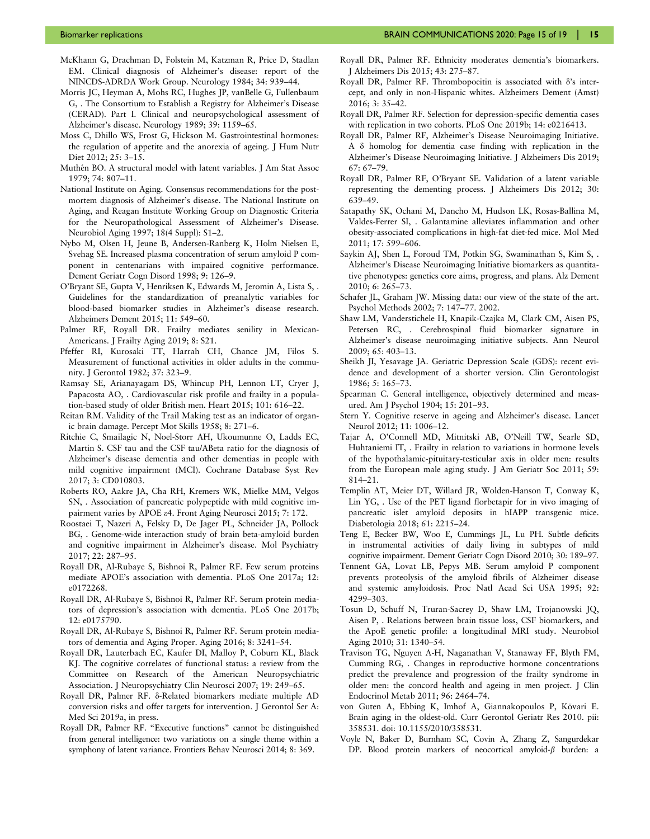- <span id="page-14-0"></span>McKhann G, Drachman D, Folstein M, Katzman R, Price D, Stadlan EM. Clinical diagnosis of Alzheimer's disease: report of the NINCDS-ADRDA Work Group. Neurology 1984; 34: 939–44.
- Morris JC, Heyman A, Mohs RC, Hughes JP, vanBelle G, Fullenbaum G, . The Consortium to Establish a Registry for Alzheimer's Disease (CERAD). Part I. Clinical and neuropsychological assessment of Alzheimer's disease. Neurology 1989; 39: 1159–65.
- Moss C, Dhillo WS, Frost G, Hickson M. Gastrointestinal hormones: the regulation of appetite and the anorexia of ageing. J Hum Nutr Diet 2012; 25: 3–15.
- Muthén BO. A structural model with latent variables. J Am Stat Assoc 1979; 74: 807–11.
- National Institute on Aging. Consensus recommendations for the postmortem diagnosis of Alzheimer's disease. The National Institute on Aging, and Reagan Institute Working Group on Diagnostic Criteria for the Neuropathological Assessment of Alzheimer's Disease. Neurobiol Aging 1997; 18(4 Suppl): S1–2.
- Nybo M, Olsen H, Jeune B, Andersen-Ranberg K, Holm Nielsen E, Svehag SE. Increased plasma concentration of serum amyloid P component in centenarians with impaired cognitive performance. Dement Geriatr Cogn Disord 1998; 9: 126–9.
- O'Bryant SE, Gupta V, Henriksen K, Edwards M, Jeromin A, Lista S, . Guidelines for the standardization of preanalytic variables for blood-based biomarker studies in Alzheimer's disease research. Alzheimers Dement 2015; 11: 549–60.
- Palmer RF, Royall DR. Frailty mediates senility in Mexican-Americans. J Frailty Aging 2019; 8: S21.
- Pfeffer RI, Kurosaki TT, Harrah CH, Chance JM, Filos S. Measurement of functional activities in older adults in the community. J Gerontol 1982; 37: 323–9.
- Ramsay SE, Arianayagam DS, Whincup PH, Lennon LT, Cryer J, Papacosta AO, . Cardiovascular risk profile and frailty in a population-based study of older British men. Heart 2015; 101: 616–22.
- Reitan RM. Validity of the Trail Making test as an indicator of organic brain damage. Percept Mot Skills 1958; 8: 271–6.
- Ritchie C, Smailagic N, Noel-Storr AH, Ukoumunne O, Ladds EC, Martin S. CSF tau and the CSF tau/ABeta ratio for the diagnosis of Alzheimer's disease dementia and other dementias in people with mild cognitive impairment (MCI). Cochrane Database Syst Rev 2017; 3: CD010803.
- Roberts RO, Aakre JA, Cha RH, Kremers WK, Mielke MM, Velgos SN, . Association of pancreatic polypeptide with mild cognitive impairment varies by APOE  $\varepsilon$ 4. Front Aging Neurosci 2015; 7: 172.
- Roostaei T, Nazeri A, Felsky D, De Jager PL, Schneider JA, Pollock BG, . Genome-wide interaction study of brain beta-amyloid burden and cognitive impairment in Alzheimer's disease. Mol Psychiatry 2017; 22: 287–95.
- Royall DR, Al-Rubaye S, Bishnoi R, Palmer RF. Few serum proteins mediate APOE's association with dementia. PLoS One 2017a; 12: e0172268.
- Royall DR, Al-Rubaye S, Bishnoi R, Palmer RF. Serum protein mediators of depression's association with dementia. PLoS One 2017b; 12: e0175790.
- Royall DR, Al-Rubaye S, Bishnoi R, Palmer RF. Serum protein mediators of dementia and Aging Proper. Aging 2016; 8: 3241–54.
- Royall DR, Lauterbach EC, Kaufer DI, Malloy P, Coburn KL, Black KJ. The cognitive correlates of functional status: a review from the Committee on Research of the American Neuropsychiatric Association. J Neuropsychiatry Clin Neurosci 2007; 19: 249–65.
- Royall DR, Palmer RF.  $\delta$ -Related biomarkers mediate multiple AD conversion risks and offer targets for intervention. J Gerontol Ser A: Med Sci 2019a, in press.
- Royall DR, Palmer RF. "Executive functions" cannot be distinguished from general intelligence: two variations on a single theme within a symphony of latent variance. Frontiers Behav Neurosci 2014; 8: 369.
- Royall DR, Palmer RF. Ethnicity moderates dementia's biomarkers. J Alzheimers Dis 2015; 43: 275–87.
- Royall DR, Palmer RF. Thrombopoeitin is associated with  $\delta$ 's intercept, and only in non-Hispanic whites. Alzheimers Dement (Amst) 2016; 3: 35–42.
- Royall DR, Palmer RF. Selection for depression-specific dementia cases with replication in two cohorts. PLoS One 2019b; 14: e0216413.
- Royall DR, Palmer RF, Alzheimer's Disease Neuroimaging Initiative. A  $\delta$  homolog for dementia case finding with replication in the Alzheimer's Disease Neuroimaging Initiative. J Alzheimers Dis 2019; 67: 67–79.
- Royall DR, Palmer RF, O'Bryant SE. Validation of a latent variable representing the dementing process. J Alzheimers Dis 2012; 30: 639–49.
- Satapathy SK, Ochani M, Dancho M, Hudson LK, Rosas-Ballina M, Valdes-Ferrer SI, . Galantamine alleviates inflammation and other obesity-associated complications in high-fat diet-fed mice. Mol Med 2011; 17: 599–606.
- Saykin AJ, Shen L, Foroud TM, Potkin SG, Swaminathan S, Kim S, . Alzheimer's Disease Neuroimaging Initiative biomarkers as quantitative phenotypes: genetics core aims, progress, and plans. Alz Dement 2010; 6: 265–73.
- Schafer JL, Graham JW. Missing data: our view of the state of the art. Psychol Methods 2002; 7: 147–77. 2002.
- Shaw LM, Vanderstichele H, Knapik-Czajka M, Clark CM, Aisen PS, Petersen RC, . Cerebrospinal fluid biomarker signature in Alzheimer's disease neuroimaging initiative subjects. Ann Neurol 2009; 65: 403–13.
- Sheikh JI, Yesavage JA. Geriatric Depression Scale (GDS): recent evidence and development of a shorter version. Clin Gerontologist 1986; 5: 165–73.
- Spearman C. General intelligence, objectively determined and measured. Am J Psychol 1904; 15: 201–93.
- Stern Y. Cognitive reserve in ageing and Alzheimer's disease. Lancet Neurol 2012; 11: 1006–12.
- Tajar A, O'Connell MD, Mitnitski AB, O'Neill TW, Searle SD, Huhtaniemi IT, . Frailty in relation to variations in hormone levels of the hypothalamic-pituitary-testicular axis in older men: results from the European male aging study. J Am Geriatr Soc 2011; 59: 814–21.
- Templin AT, Meier DT, Willard JR, Wolden-Hanson T, Conway K, Lin YG, . Use of the PET ligand florbetapir for in vivo imaging of pancreatic islet amyloid deposits in hIAPP transgenic mice. Diabetologia 2018; 61: 2215–24.
- Teng E, Becker BW, Woo E, Cummings JL, Lu PH. Subtle deficits in instrumental activities of daily living in subtypes of mild cognitive impairment. Dement Geriatr Cogn Disord 2010; 30: 189–97.
- Tennent GA, Lovat LB, Pepys MB. Serum amyloid P component prevents proteolysis of the amyloid fibrils of Alzheimer disease and systemic amyloidosis. Proc Natl Acad Sci USA 1995; 92: 4299–303.
- Tosun D, Schuff N, Truran-Sacrey D, Shaw LM, Trojanowski JQ, Aisen P, . Relations between brain tissue loss, CSF biomarkers, and the ApoE genetic profile: a longitudinal MRI study. Neurobiol Aging 2010; 31: 1340–54.
- Travison TG, Nguyen A-H, Naganathan V, Stanaway FF, Blyth FM, Cumming RG, . Changes in reproductive hormone concentrations predict the prevalence and progression of the frailty syndrome in older men: the concord health and ageing in men project. J Clin Endocrinol Metab 2011; 96: 2464–74.
- von Guten A, Ebbing K, Imhof A, Giannakopoulos P, Kövari E. Brain aging in the oldest-old. Curr Gerontol Geriatr Res 2010. pii: 358531. doi: 10.1155/2010/358531.
- Voyle N, Baker D, Burnham SC, Covin A, Zhang Z, Sangurdekar DP. Blood protein markers of neocortical amyloid- $\beta$  burden: a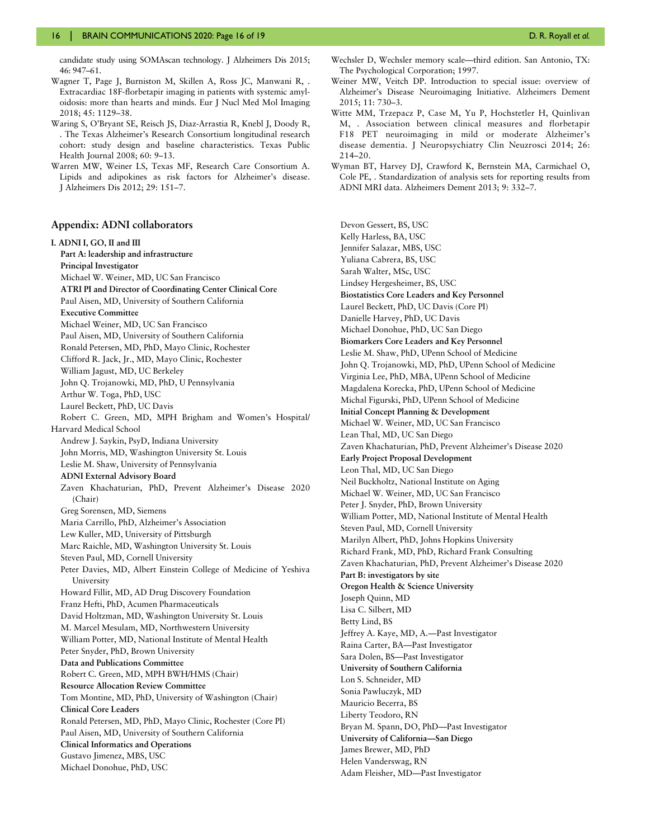<span id="page-15-0"></span>candidate study using SOMAscan technology. J Alzheimers Dis 2015; 46: 947–61.

- Wagner T, Page J, Burniston M, Skillen A, Ross JC, Manwani R, . Extracardiac 18F-florbetapir imaging in patients with systemic amyloidosis: more than hearts and minds. Eur J Nucl Med Mol Imaging 2018; 45: 1129–38.
- Waring S, O'Bryant SE, Reisch JS, Diaz-Arrastia R, Knebl J, Doody R, . The Texas Alzheimer's Research Consortium longitudinal research cohort: study design and baseline characteristics. Texas Public Health Journal 2008; 60: 9–13.
- Warren MW, Weiner LS, Texas MF, Research Care Consortium A. Lipids and adipokines as risk factors for Alzheimer's disease. J Alzheimers Dis 2012; 29: 151–7.

#### Appendix: ADNI collaborators

I. ADNI I, GO, II and III Part A: leadership and infrastructure Principal Investigator Michael W. Weiner, MD, UC San Francisco ATRI PI and Director of Coordinating Center Clinical Core Paul Aisen, MD, University of Southern California Executive Committee Michael Weiner, MD, UC San Francisco Paul Aisen, MD, University of Southern California Ronald Petersen, MD, PhD, Mayo Clinic, Rochester Clifford R. Jack, Jr., MD, Mayo Clinic, Rochester William Jagust, MD, UC Berkeley John Q. Trojanowki, MD, PhD, U Pennsylvania Arthur W. Toga, PhD, USC Laurel Beckett, PhD, UC Davis Robert C. Green, MD, MPH Brigham and Women's Hospital/ Harvard Medical School Andrew J. Saykin, PsyD, Indiana University John Morris, MD, Washington University St. Louis Leslie M. Shaw, University of Pennsylvania ADNI External Advisory Board Zaven Khachaturian, PhD, Prevent Alzheimer's Disease 2020 (Chair) Greg Sorensen, MD, Siemens Maria Carrillo, PhD, Alzheimer's Association Lew Kuller, MD, University of Pittsburgh Marc Raichle, MD, Washington University St. Louis Steven Paul, MD, Cornell University Peter Davies, MD, Albert Einstein College of Medicine of Yeshiva University Howard Fillit, MD, AD Drug Discovery Foundation Franz Hefti, PhD, Acumen Pharmaceuticals David Holtzman, MD, Washington University St. Louis M. Marcel Mesulam, MD, Northwestern University William Potter, MD, National Institute of Mental Health Peter Snyder, PhD, Brown University Data and Publications Committee Robert C. Green, MD, MPH BWH/HMS (Chair) Resource Allocation Review Committee Tom Montine, MD, PhD, University of Washington (Chair) Clinical Core Leaders Ronald Petersen, MD, PhD, Mayo Clinic, Rochester (Core PI) Paul Aisen, MD, University of Southern California Clinical Informatics and Operations Gustavo Jimenez, MBS, USC Michael Donohue, PhD, USC

- Wechsler D, Wechsler memory scale—third edition. San Antonio, TX: The Psychological Corporation; 1997.
- Weiner MW, Veitch DP. Introduction to special issue: overview of Alzheimer's Disease Neuroimaging Initiative. Alzheimers Dement 2015; 11: 730–3.
- Witte MM, Trzepacz P, Case M, Yu P, Hochstetler H, Quinlivan M, . Association between clinical measures and florbetapir F18 PET neuroimaging in mild or moderate Alzheimer's disease dementia. J Neuropsychiatry Clin Neuzrosci 2014; 26: 214–20.
- Wyman BT, Harvey DJ, Crawford K, Bernstein MA, Carmichael O, Cole PE, . Standardization of analysis sets for reporting results from ADNI MRI data. Alzheimers Dement 2013; 9: 332–7.

Devon Gessert, BS, USC Kelly Harless, BA, USC Jennifer Salazar, MBS, USC Yuliana Cabrera, BS, USC Sarah Walter, MSc, USC Lindsey Hergesheimer, BS, USC Biostatistics Core Leaders and Key Personnel Laurel Beckett, PhD, UC Davis (Core PI) Danielle Harvey, PhD, UC Davis Michael Donohue, PhD, UC San Diego Biomarkers Core Leaders and Key Personnel Leslie M. Shaw, PhD, UPenn School of Medicine John Q. Trojanowki, MD, PhD, UPenn School of Medicine Virginia Lee, PhD, MBA, UPenn School of Medicine Magdalena Korecka, PhD, UPenn School of Medicine Michal Figurski, PhD, UPenn School of Medicine Initial Concept Planning & Development Michael W. Weiner, MD, UC San Francisco Lean Thal, MD, UC San Diego Zaven Khachaturian, PhD, Prevent Alzheimer's Disease 2020 Early Project Proposal Development Leon Thal, MD, UC San Diego Neil Buckholtz, National Institute on Aging Michael W. Weiner, MD, UC San Francisco Peter J. Snyder, PhD, Brown University William Potter, MD, National Institute of Mental Health Steven Paul, MD, Cornell University Marilyn Albert, PhD, Johns Hopkins University Richard Frank, MD, PhD, Richard Frank Consulting Zaven Khachaturian, PhD, Prevent Alzheimer's Disease 2020 Part B: investigators by site Oregon Health & Science University Joseph Quinn, MD Lisa C. Silbert, MD Betty Lind, BS Jeffrey A. Kaye, MD, A.—Past Investigator Raina Carter, BA—Past Investigator Sara Dolen, BS—Past Investigator University of Southern California Lon S. Schneider, MD Sonia Pawluczyk, MD Mauricio Becerra, BS Liberty Teodoro, RN Bryan M. Spann, DO, PhD—Past Investigator University of California—San Diego James Brewer, MD, PhD Helen Vanderswag, RN Adam Fleisher, MD—Past Investigator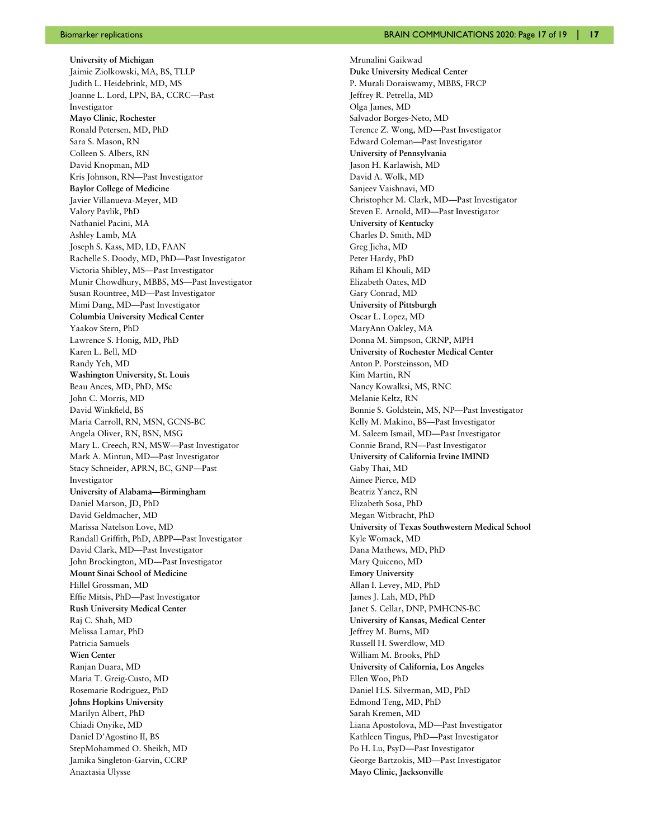University of Michigan Jaimie Ziolkowski, MA, BS, TLLP Judith L. Heidebrink, MD, MS Joanne L. Lord, LPN, BA, CCRC—Past Investigator Mayo Clinic, Rochester Ronald Petersen, MD, PhD Sara S. Mason, RN Colleen S. Albers, RN David Knopman, MD Kris Johnson, RN—Past Investigator Baylor College of Medicine Javier Villanueva-Meyer, MD Valory Pavlik, PhD Nathaniel Pacini, MA Ashley Lamb, MA Joseph S. Kass, MD, LD, FAAN Rachelle S. Doody, MD, PhD—Past Investigator Victoria Shibley, MS—Past Investigator Munir Chowdhury, MBBS, MS—Past Investigator Susan Rountree, MD—Past Investigator Mimi Dang, MD—Past Investigator Columbia University Medical Center Yaakov Stern, PhD Lawrence S. Honig, MD, PhD Karen L. Bell, MD Randy Yeh, MD Washington University, St. Louis Beau Ances, MD, PhD, MSc John C. Morris, MD David Winkfield, BS Maria Carroll, RN, MSN, GCNS-BC Angela Oliver, RN, BSN, MSG Mary L. Creech, RN, MSW—Past Investigator Mark A. Mintun, MD—Past Investigator Stacy Schneider, APRN, BC, GNP—Past Investigator University of Alabama—Birmingham Daniel Marson, JD, PhD David Geldmacher, MD Marissa Natelson Love, MD Randall Griffith, PhD, ABPP—Past Investigator David Clark, MD—Past Investigator John Brockington, MD—Past Investigator Mount Sinai School of Medicine Hillel Grossman, MD Effie Mitsis, PhD—Past Investigator Rush University Medical Center Raj C. Shah, MD Melissa Lamar, PhD Patricia Samuels Wien Center Ranjan Duara, MD Maria T. Greig-Custo, MD Rosemarie Rodriguez, PhD Johns Hopkins University Marilyn Albert, PhD Chiadi Onyike, MD Daniel D'Agostino II, BS StepMohammed O. Sheikh, MD Jamika Singleton-Garvin, CCRP Anaztasia Ulysse

Mrunalini Gaikwad Duke University Medical Center P. Murali Doraiswamy, MBBS, FRCP Jeffrey R. Petrella, MD Olga James, MD Salvador Borges-Neto, MD Terence Z. Wong, MD—Past Investigator Edward Coleman—Past Investigator University of Pennsylvania Jason H. Karlawish, MD David A. Wolk, MD Sanjeev Vaishnavi, MD Christopher M. Clark, MD—Past Investigator Steven E. Arnold, MD—Past Investigator University of Kentucky Charles D. Smith, MD Greg Jicha, MD Peter Hardy, PhD Riham El Khouli, MD Elizabeth Oates, MD Gary Conrad, MD University of Pittsburgh Oscar L. Lopez, MD MaryAnn Oakley, MA Donna M. Simpson, CRNP, MPH University of Rochester Medical Center Anton P. Porsteinsson, MD Kim Martin, RN Nancy Kowalksi, MS, RNC Melanie Keltz, RN Bonnie S. Goldstein, MS, NP—Past Investigator Kelly M. Makino, BS—Past Investigator M. Saleem Ismail, MD—Past Investigator Connie Brand, RN—Past Investigator University of California Irvine IMIND Gaby Thai, MD Aimee Pierce, MD Beatriz Yanez, RN Elizabeth Sosa, PhD Megan Witbracht, PhD University of Texas Southwestern Medical School Kyle Womack, MD Dana Mathews, MD, PhD Mary Quiceno, MD Emory University Allan I. Levey, MD, PhD James J. Lah, MD, PhD Janet S. Cellar, DNP, PMHCNS-BC University of Kansas, Medical Center Jeffrey M. Burns, MD Russell H. Swerdlow, MD William M. Brooks, PhD University of California, Los Angeles Ellen Woo, PhD Daniel H.S. Silverman, MD, PhD Edmond Teng, MD, PhD Sarah Kremen, MD Liana Apostolova, MD—Past Investigator Kathleen Tingus, PhD—Past Investigator Po H. Lu, PsyD—Past Investigator George Bartzokis, MD—Past Investigator Mayo Clinic, Jacksonville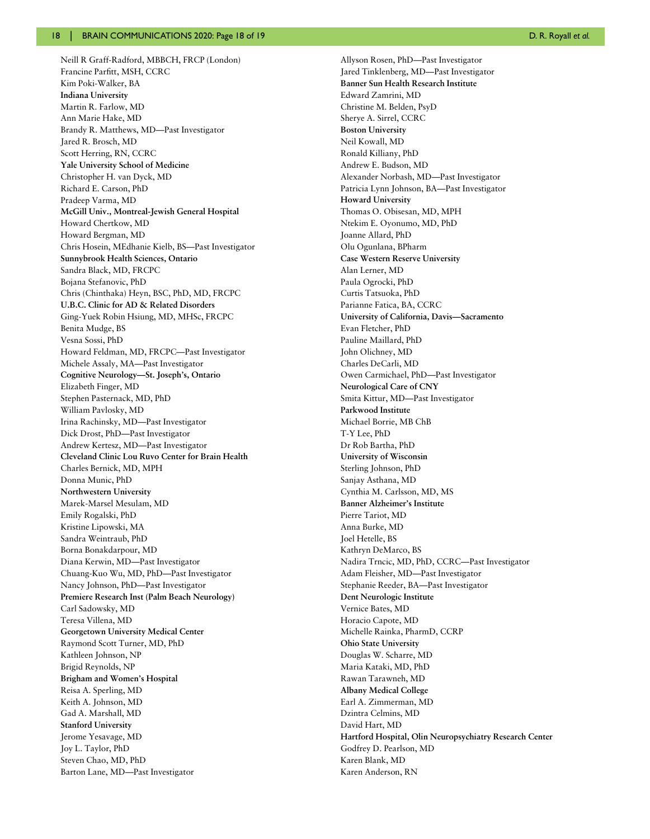Neill R Graff-Radford, MBBCH, FRCP (London) Francine Parfitt, MSH, CCRC Kim Poki-Walker, BA Indiana University Martin R. Farlow, MD Ann Marie Hake, MD Brandy R. Matthews, MD—Past Investigator Jared R. Brosch, MD Scott Herring, RN, CCRC Yale University School of Medicine Christopher H. van Dyck, MD Richard E. Carson, PhD Pradeep Varma, MD McGill Univ., Montreal-Jewish General Hospital Howard Chertkow, MD Howard Bergman, MD Chris Hosein, MEdhanie Kielb, BS—Past Investigator Sunnybrook Health Sciences, Ontario Sandra Black, MD, FRCPC Bojana Stefanovic, PhD Chris (Chinthaka) Heyn, BSC, PhD, MD, FRCPC U.B.C. Clinic for AD & Related Disorders Ging-Yuek Robin Hsiung, MD, MHSc, FRCPC Benita Mudge, BS Vesna Sossi, PhD Howard Feldman, MD, FRCPC—Past Investigator Michele Assaly, MA—Past Investigator Cognitive Neurology—St. Joseph's, Ontario Elizabeth Finger, MD Stephen Pasternack, MD, PhD William Pavlosky, MD Irina Rachinsky, MD—Past Investigator Dick Drost, PhD—Past Investigator Andrew Kertesz, MD—Past Investigator Cleveland Clinic Lou Ruvo Center for Brain Health Charles Bernick, MD, MPH Donna Munic, PhD Northwestern University Marek-Marsel Mesulam, MD Emily Rogalski, PhD Kristine Lipowski, MA Sandra Weintraub, PhD Borna Bonakdarpour, MD Diana Kerwin, MD—Past Investigator Chuang-Kuo Wu, MD, PhD—Past Investigator Nancy Johnson, PhD—Past Investigator Premiere Research Inst (Palm Beach Neurology) Carl Sadowsky, MD Teresa Villena, MD Georgetown University Medical Center Raymond Scott Turner, MD, PhD Kathleen Johnson, NP Brigid Reynolds, NP Brigham and Women's Hospital Reisa A. Sperling, MD Keith A. Johnson, MD Gad A. Marshall, MD Stanford University Jerome Yesavage, MD Joy L. Taylor, PhD Steven Chao, MD, PhD Barton Lane, MD—Past Investigator

Allyson Rosen, PhD—Past Investigator Jared Tinklenberg, MD—Past Investigator Banner Sun Health Research Institute Edward Zamrini, MD Christine M. Belden, PsyD Sherye A. Sirrel, CCRC Boston University Neil Kowall, MD Ronald Killiany, PhD Andrew E. Budson, MD Alexander Norbash, MD—Past Investigator Patricia Lynn Johnson, BA—Past Investigator Howard University Thomas O. Obisesan, MD, MPH Ntekim E. Oyonumo, MD, PhD Joanne Allard, PhD Olu Ogunlana, BPharm Case Western Reserve University Alan Lerner, MD Paula Ogrocki, PhD Curtis Tatsuoka, PhD Parianne Fatica, BA, CCRC University of California, Davis—Sacramento Evan Fletcher, PhD Pauline Maillard, PhD John Olichney, MD Charles DeCarli, MD Owen Carmichael, PhD—Past Investigator Neurological Care of CNY Smita Kittur, MD—Past Investigator Parkwood Institute Michael Borrie, MB ChB T-Y Lee, PhD Dr Rob Bartha, PhD University of Wisconsin Sterling Johnson, PhD Sanjay Asthana, MD Cynthia M. Carlsson, MD, MS Banner Alzheimer's Institute Pierre Tariot, MD Anna Burke, MD Joel Hetelle, BS Kathryn DeMarco, BS Nadira Trncic, MD, PhD, CCRC—Past Investigator Adam Fleisher, MD—Past Investigator Stephanie Reeder, BA—Past Investigator Dent Neurologic Institute Vernice Bates, MD Horacio Capote, MD Michelle Rainka, PharmD, CCRP Ohio State University Douglas W. Scharre, MD Maria Kataki, MD, PhD Rawan Tarawneh, MD Albany Medical College Earl A. Zimmerman, MD Dzintra Celmins, MD David Hart, MD Hartford Hospital, Olin Neuropsychiatry Research Center Godfrey D. Pearlson, MD Karen Blank, MD Karen Anderson, RN